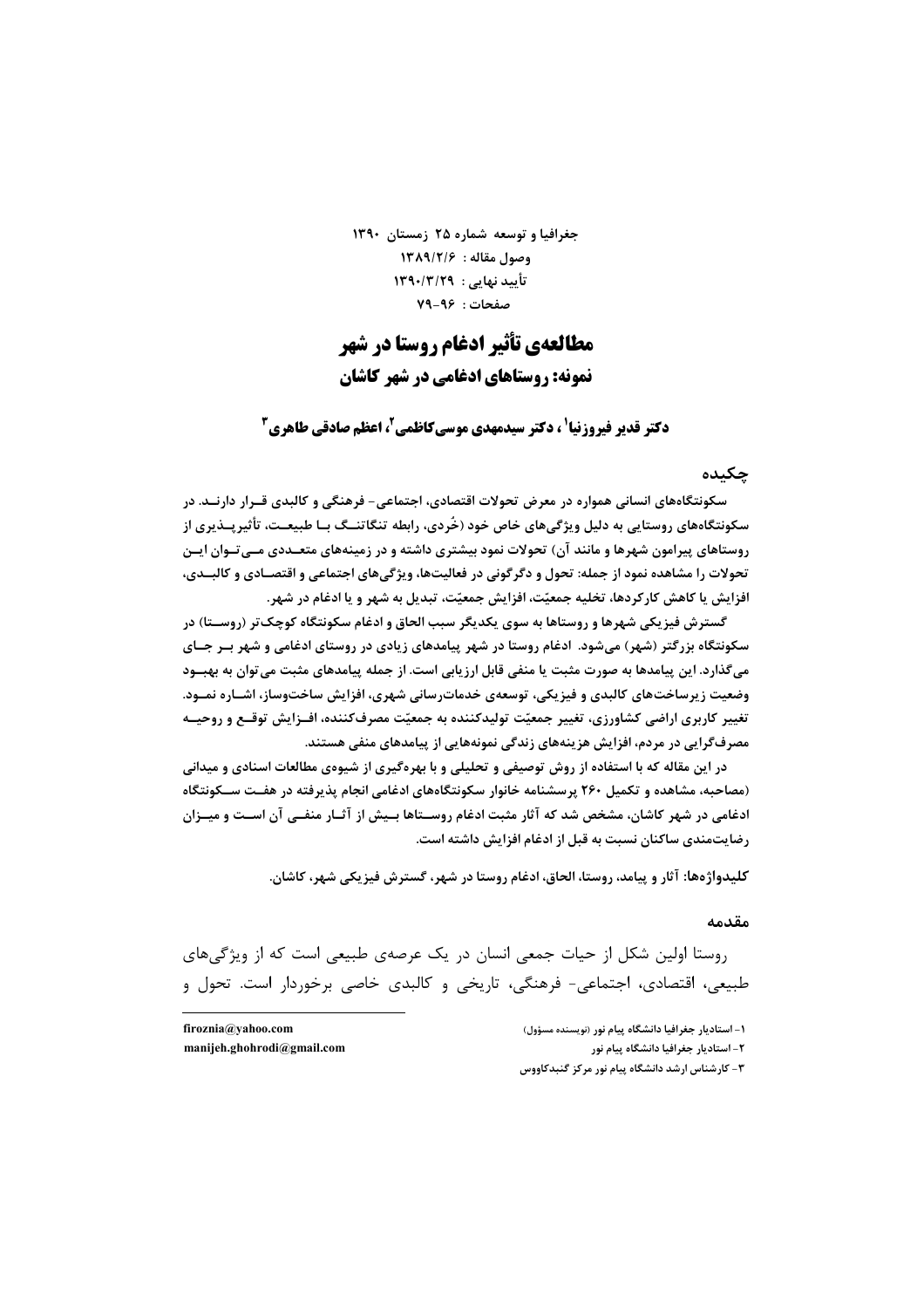جغرافیا و توسعه شماره ۲۵ زمستان ۱۳۹۰ 1384/2/6 : عقاله: ١٣٨٩/٢/۶ تأیید نهایی: ۱۳۹۰/۳/۲۹ صفحات: ۹۶-۷۹

# مطالعهی تأثیر ادغام روستا در شهر **نمونه: روستاهای ادغامی در شهر کاشان**

**دکتر قدیر فیروزنیا' ، دکتر سیدمهدی موسیکاظمی ، اعظم صادقی طاهری "** 

#### حكىدە

سکونتگاههای انسانی همواره در معرض تحولات اقتصادی، اجتماعی- فرهنگی و کالبدی قــرار دارنــد. در سکونتگاههای روستایی به دلیل ویژگیهای خاص خود (خُردی، رابطه تنگاتنــگ بــا طبیعــت، تأثیر پــذیری از روستاهای پیرامون شهرها و مانند آن) تحولات نمود بیشتری داشته و در زمینههای متعـددی مــیتـوان ایــن تحولات را مشاهده نمود از جمله: تحول و دگرگونی در فعالیتها، ویژگیهای اجتماعی و اقتصـادی و کالبــدی، افزایش یا کاهش کارکردها، تخلیه جمعیّت، افزایش جمعیّت، تبدیل به شهر و یا ادغام در شهر.

گسترش فيزيكي شهرها و روستاها به سوي يكديگر سبب الحاق و ادغام سكونتگاه كوچک تر (روســتا) در سکونتگاه بزرگتر (شهر) میشود. ادغام روستا در شهر پیامدهای زیادی در روستای ادغامی و شهر بـر جــای میگذارد. این پیامدها به صورت مثبت یا منفی قابل ارزیابی است. از جمله پیامدهای مثبت می توان به بهبــود وضعیت زیرساختهای کالبدی و فیزیکی، توسعهی خدماترسانی شهری، افزایش ساختوساز، اشــاره نمــود. تغییر کاربری اراضی کشاورزی، تغییر جمعیّت تولیدکننده به جمعیّت مصرفکننده، افــزایش توقــع و روحیــه مصرف گرایی در مردم، افزایش هزینههای زندگی نمونههایی از پیامدهای منفی هستند.

در این مقاله که با استفاده از روش توصیفی و تحلیلی و با بهرهگیری از شیوهی مطالعات اسنادی و میدانی (مصاحبه، مشاهده و تکمیل ۲۶۰ پرسشنامه خانوار سکونتگاههای ادغامی انجام پذیرفته در هفـت ســکونتگاه ادغامی در شهر کاشان، مشخص شد که آثار مثبت ادغام روســتاها بــیش از آثــار منفــی آن اســت و میــزان رضایتمندی ساکنان نسبت به قبل از ادغام افزایش داشته است.

كليدواژهها: آثار و پيامد، روستا، الحاق، ادغام روستا در شهر، گسترش فيزيكي شهر، كاشان.

#### مقدمه

روستا اولین شکل از حیات جمعی انسان در یک عرصهی طبیعی است که از ویژگیهای طبیعی، اقتصادی، اجتماعی- فرهنگی، تاریخی و کالبدی خاصی برخوردار است. تحول و

> ۱- استادیار جغرافیا دانشگاه پیام نور (نویسنده مسؤول) ٢- استادیار جغرافیا دانشگاه پیام نور ۳- کارشناس ارشد دانشگاه پیام نور مرکز گنبدکاووس

firoznia@yahoo.com manijeh.ghohrodi@gmail.com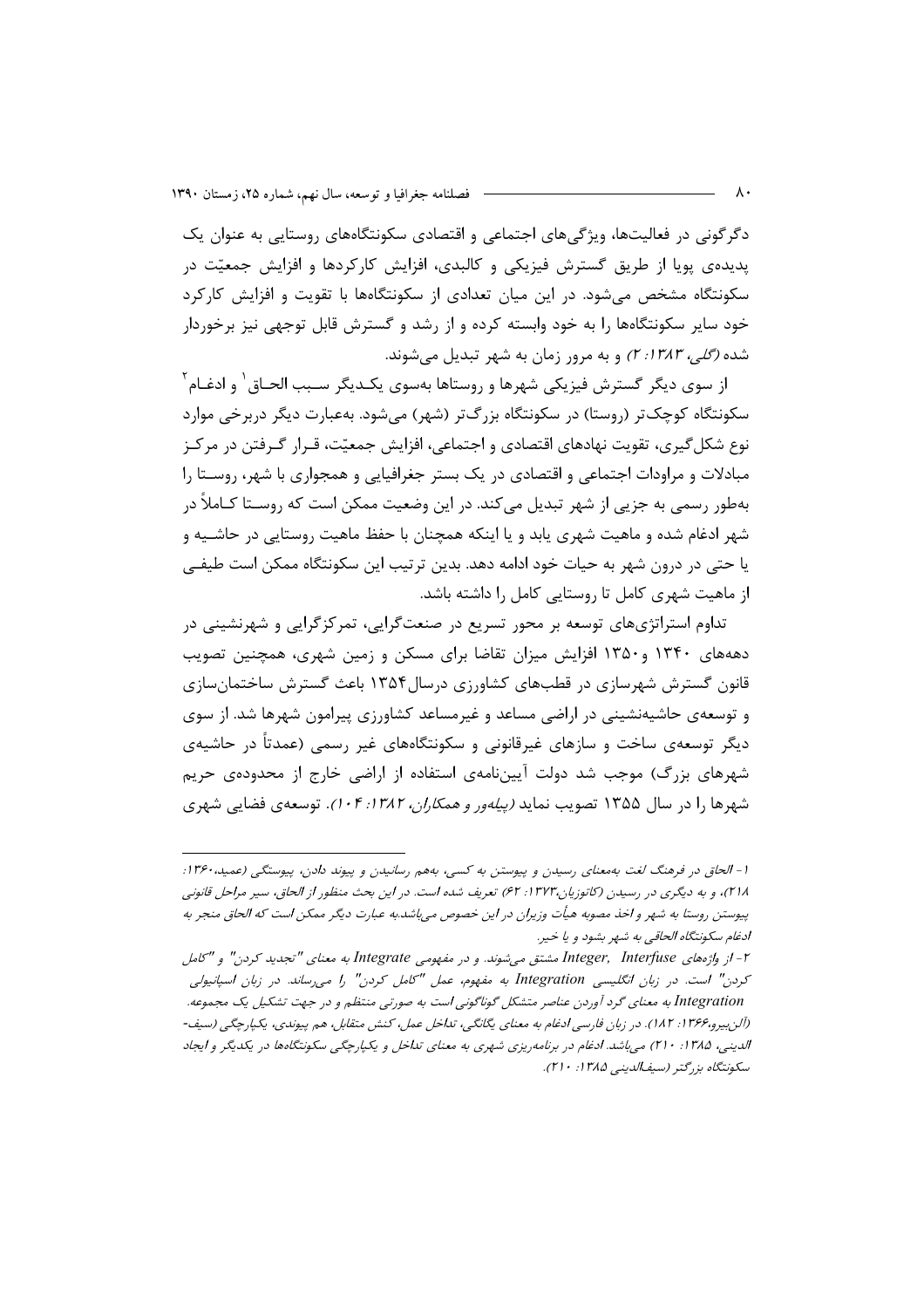دگرگونی در فعالیتها، ویژگیهای اجتماعی و اقتصادی سکونتگاههای روستایی به عنوان یک پدیده یپویا از طریق گسترش فیزیکی و کالبدی، افزایش کارکردها و افزایش جمعیّت در سکونتگاه مشخص میشود. در این میان تعدادی از سکونتگاهها با تقویت و افزایش کارکرد خود سایر سکونتگاهها را به خود وابسته کرده و از رشد و گسترش قابل توجهی نیز برخوردار شده *(گلی، ۱۳۸۳: ۲)* و به مرور زمان به شهر تبدیل می شوند.

از سوی دیگر گسترش فیزیکی شهرها و روستاها بهسوی یکـدیگر سـبب الحـاق <sup>۱</sup> و ادغـام <sup>۲</sup> سکونتگاه کوچکتر (روستا) در سکونتگاه بزرگتر (شهر) میشود. بهعبارت دیگر دربرخی موارد نوع شکل گیری، تقویت نهادهای اقتصادی و اجتماعی، افزایش جمعیّت، قـرار گـرفتن در مرکـز مبادلات و مراودات اجتماعی و اقتصادی در یک بستر جغرافیایی و همجواری با شهر، روسـتا را بهطور رسمی به جزیی از شهر تبدیل میکند. در این وضعیت ممکن است که روسـتا کــاملاً در شهر ادغام شده و ماهیت شهری پابد و یا اینکه همچنان با حفظ ماهیت روستایی در حاشــیه و یا حتی در درون شهر به حیات خود ادامه دهد. بدین ترتیب این سکونتگاه ممکن است طیفـی از ماهیت شهری کامل تا روستایی کامل را داشته باشد.

تداوم استراتژیهای توسعه بر محور تسریع در صنعتگرایی، تمرکزگرایی و شهرنشینی در دهههای ۱۳۴۰ و۱۳۵۰ افزایش میزان تقاضا برای مسکن و زمین شهری، همچنین تصویب قانون گسترش شهرسازی در قطبهای کشاورزی درسال۱۳۵۴ باعث گسترش ساختمانسازی و توسعهی حاشیهنشینی در اراضی مساعد و غیرمساعد کشاورزی پیرامون شهرها شد. از سوی دیگر توسعهی ساخت و سازهای غیرقانونی و سکونتگاههای غیر رسمی (عمدتاً در حاشیهی شهرهای بزرگ) موجب شد دولت آیینiامهی استفاده از اراضی خارج از محدودهی حریم شهرها را در سال ۱۳۵۵ تصویب نماید *(پیلهور و همکاران، ۱۳۸۲: ۱۰۴).* توسعهی فضایی شهری

ا - الحاق در فرهنگ لغت به معنای رسیدن و پیوستن به کسی، به هم رسانیدن و پیوند دادن، پیوستگی (عمید، ۱۳۶۰: ۲۱۸)، و به دیگری در رسیدن (کاتوزیان،۱۳۲۳: ۶۲) تعریف شده است. در این بحث منظور از الحاق، سیر مراحل قانونی پیوستن روستا به شهر و اخذ مصوبه هیأت وزیران در این خصوص میباشد.به عبارت دیگر ممکن است که الحاق منجر به ادغام سكونتگاه الحاقي به شهر بشود و يا خير.

۲- از واژههای Integer, Interfuse مشتق می شوند. و در مفهومی Integrate به معنای "تجدید کردن" و "کامل کردن" است. در زبان انگلیسی Integration به مفهوم، عمل "کامل کردن" را می رساند. در زبان اسپانیولی Integration به معنای گرد آوردن عناصر متشکل گوناگونی است به صورتی منتظم و در جهت تشکیل یک مجموعه. (آلن بیرو،۱۳۶۶: ۱۸۲). در زبان فارسی ادغام به معنای یگانگی، تداخل عمل، کنش متقابل، هم پیوندی، یکپارچگی (سیف-الدینی، ۱۳۸۵: ۲۱۰) می باشد. ادغام در برنامه ریزی شهری به معنای تداخل و یکپارچگی سکونتگاهها در یکدیگر و ایجاد سكونتگاه بزرگتر (سيفالديني ١٣٨۵: ٢١٠).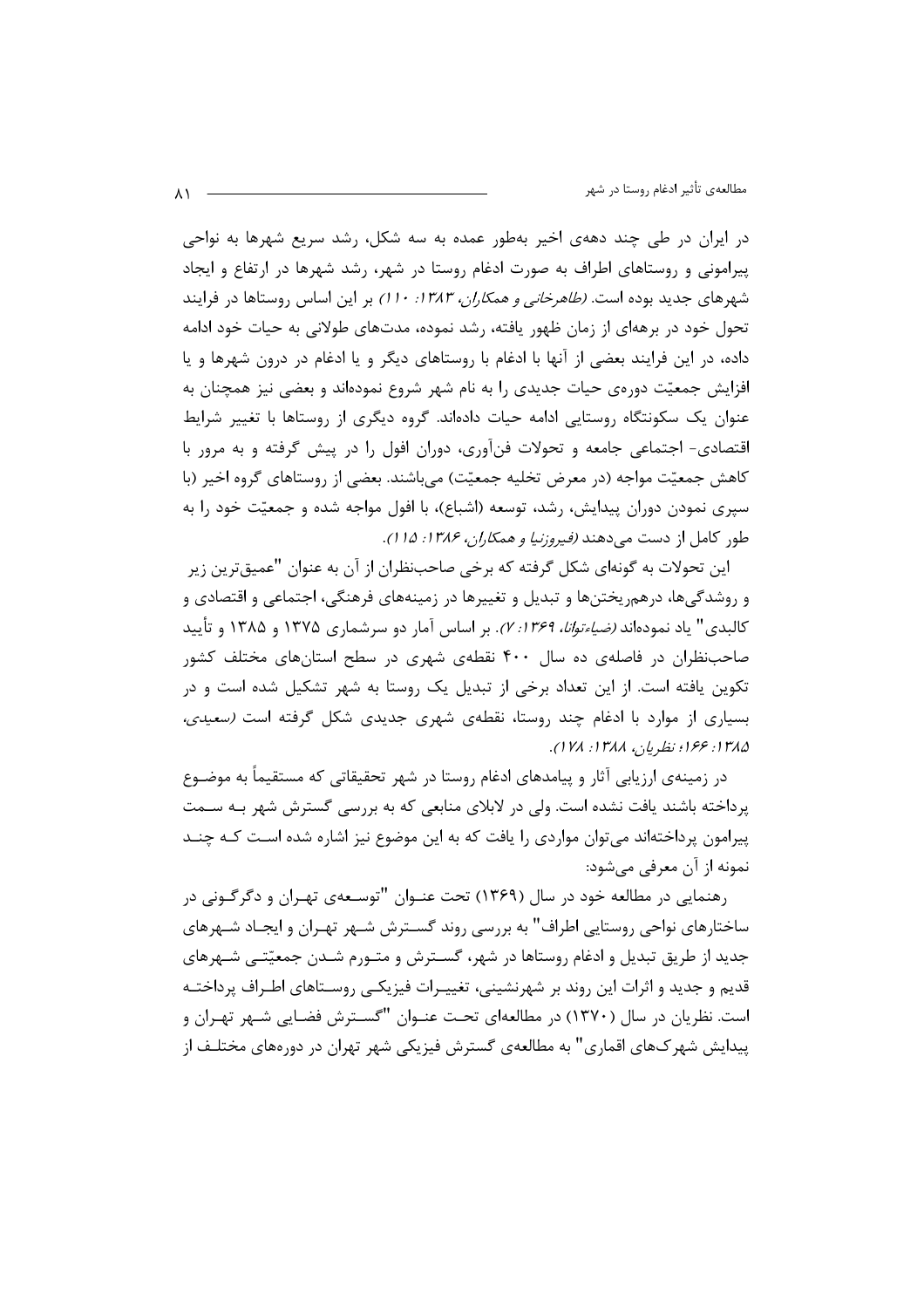در ایران در طی چند دههی اخیر بهطور عمده به سه شکل، رشد سریع شهرها به نواحی پیرامونی و روستاهای اطراف به صورت ادغام روستا در شهر، رشد شهرها در ارتفاع و ایجاد شهرهای جدید بوده است. *(طاهرخانی و همکاران، ۱۳۸۳: ۱۱۰)* بر این اساس روستاها در فرایند تحول خود در برههای از زمان ظهور یافته، رشد نموده، مدتهای طولانی به حیات خود ادامه داده، در این فرایند بعضی از آنها با ادغام با روستاهای دیگر و یا ادغام در درون شهرها و یا افزایش جمعیّت دورهی حیات جدیدی را به نام شهر شروع نمودهاند و بعضی نیز همچنان به عنوان یک سکونتگاه روستایی ادامه حیات دادهاند. گروه دیگری از روستاها با تغییر شرایط اقتصادی- اجتماعی جامعه و تحولات فنآوری، دوران افول را در پیش گرفته و به مرور با كاهش جمعيّت مواجه (در معرض تخليه جمعيّت) مي باشند. بعضي از روستاهاي گروه اخير (با سپری نمودن دوران پیدایش، رشد، توسعه (اشباع)، با افول مواجه شده و جمعیّت خود را به طور كامل از دست مى دهند *(فيروزنيا و همكاران، ۱۳۸۶: ۱۵ ۱).* 

این تحولات به گونهای شکل گرفته که برخی صاحبنظران از آن به عنوان "عمیقترین زیر و روشدگیها، درهم٫یختنها و تبدیل و تغییرها در زمینههای فرهنگی، اجتماعی و اقتصادی و کالبدی" یاد نمودهاند *(ضیاءتوانا، ۱۳۶۹؛ ۷)*. بر اساس آمار دو سرشماری ۱۳۷۵ و ۱۳۸۵ و تأیید صاحبنظران در فاصلهی ده سال ۴۰۰ نقطهی شهری در سطح استانهای مختلف کشور تکوین یافته است. از این تعداد برخی از تبدیل یک روستا به شهر تشکیل شده است و در بسیاری از موارد با ادغام چند روستا، نقطهی شهری جدیدی شکل گرفته است (سعیدی، ١٣٨٥: ١٤٤ نظريان، ١٣٨٨. ١٧٨.

در زمینهی ارزیابی آثار و پیامدهای ادغام روستا در شهر تحقیقاتی که مستقیماً به موضـوع پرداخته باشند یافت نشده است. ولی در لابلای منابعی که به بررسی گسترش شهر بـه سـمت پیرامون پرداختهاند میتوان مواردی را یافت که به این موضوع نیز اشاره شده اسـت کـه چنـد نمونه از آن معرفی میشود:

رهنمايي در مطالعه خود در سال (۱۳۶۹) تحت عنـوان "توسـعهي تهـران و دگرگـوني در ساختارهای نواحی روستایی اطراف" به بررسی روند گسـترش شـهر تهـران و ایجـاد شـهرهای جدید از طریق تبدیل و ادغام روستاها در شهر، گسـترش و متـورم شـدن جمعیّتـی شـهرهای قدیم و جدید و اثرات این روند بر شهرنشینی، تغییـرات فیزیکـی روسـتاهای اطـراف پرداختـه است. نظریان در سال (۱۳۷۰) در مطالعهای تحت عنـوان "گسـترش فضـایی شـهر تهـران و پیدایش شهرکهای اقماری" به مطالعهی گسترش فیزیکی شهر تهران در دورههای مختلـف از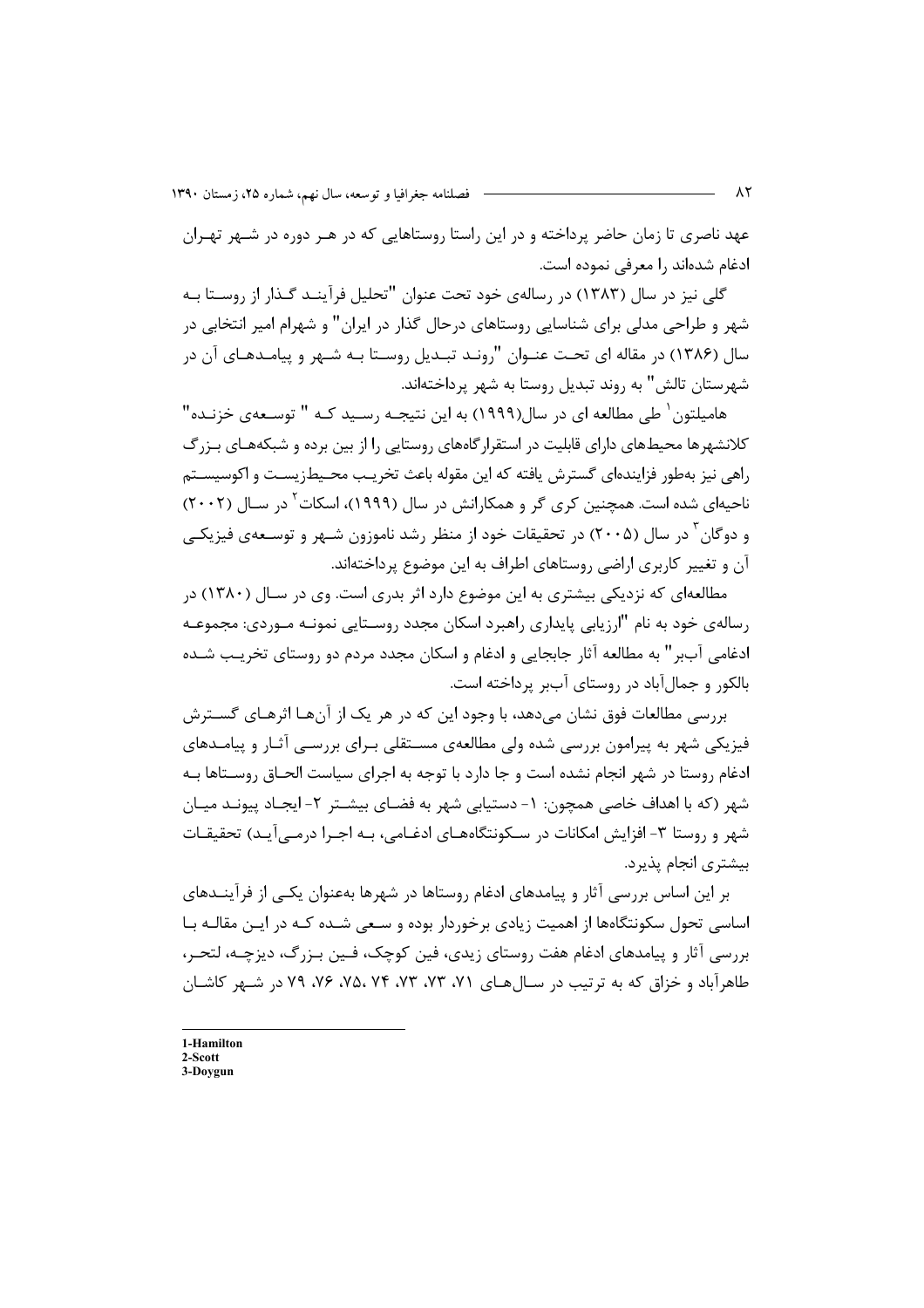عهد ناصری تا زمان حاضر پرداخته و در این راستا روستاهایی که در هـر دوره در شـهر تهـران ادغام شدهاند را معرفی نموده است.

گلی نیز در سال (۱۳۸۳) در رسالهی خود تحت عنوان "تحلیل فرآینـد گـذار از روسـتا بـه شهر و طراحی مدلی برای شناسایی روستاهای درحال گذار در ایران" و شهرام امیر انتخابی در سال (۱۳۸۶) در مقاله ای تحت عنـوان "رونـد تبـدیل روسـتا بـه شـهر و پیامـدهـای آن در شهرستان تالش" به روند تبدیل روستا به شهر پرداختهاند.

هامیلتون ٰ طی مطالعه ای در سال(۱۹۹۹) به این نتیجـه رســید کـه " توسـعهی خزنـده" کلانشهرها محیطهای دارای قابلیت در استقرارگاههای روستایی را از بین برده و شبکههـای بـزرگ راهي نيز بهطور فزايندهاي گسترش يافته كه اين مقوله باعث تخريب محـيطزيسـت و اكوسيسـتم ناحیهای شده است. همچنین کری گر و همکارانش در سال (۱۹۹۹)، اسکات<sup>۲</sup> در سـال (۲۰۰۲) و دوگان<sup>۳</sup> در سال (۲۰۰۵) در تحقیقات خود از منظر رشد ناموزون شـهر و توسـعهی فیزیکـی آن و تغییر کاربری اراضی روستاهای اطراف به این موضوع پرداختهاند.

مطالعهای که نزدیکی بیشتری به این موضوع دارد اثر بدری است. وی در سـال (۱۳۸۰) در رسالهی خود به نام "ارزیابی پایداری راهبرد اسکان مجدد روسـتایی نمونـه مـوردی: مجموعـه ادغامی آببر" به مطالعه آثار جابجایی و ادغام و اسکان مجدد مردم دو روستای تخریب شـده بالکور و جمال آباد در روستای آببر پرداخته است.

بررسی مطالعات فوق نشان می۵هد، با وجود این که در هر یک از آنهـا اثرهـای گســترش فیزیکی شهر به پیرامون بررسی شده ولی مطالعهی مسـتقلی بـرای بررسـی آثـار و پیامـدهای ادغام روستا در شهر انجام نشده است و جا دارد با توجه به اجرای سیاست الحـاق روســتاها بـه شهر (که با اهداف خاصی همچون: ۱- دستیابی شهر به فضـای بیشــتر ۲- ایجـاد پیونــد میــان شهر و روستا ۳- افزایش امکانات در سـکونتگاههـای ادغـامی، بـه اجـرا درمـی آیـد) تحقیقـات بيشتري انجام پذيرد.

بر این اساس بررسی آثار و پیامدهای ادغام روستاها در شهرها بهعنوان یکـی از فرآینــدهای اساسی تحول سکونتگاهها از اهمیت زیادی برخوردار بوده و سعی شـده کـه در ایـن مقالـه بـا بررسی آثار و پیامدهای ادغام هفت روستای زیدی، فین کوچک، فـین بـزرگ، دیزچـه، لتحـر، طاهرآباد و خزاق که به ترتیب در سـالهـای ۷۱، ۷۳، ۷۳، ۷۳، ۷۶، ۷۶، ۷۹ در شـهر کاشـان

1-Hamilton  $2$ -Scott

3-Doygun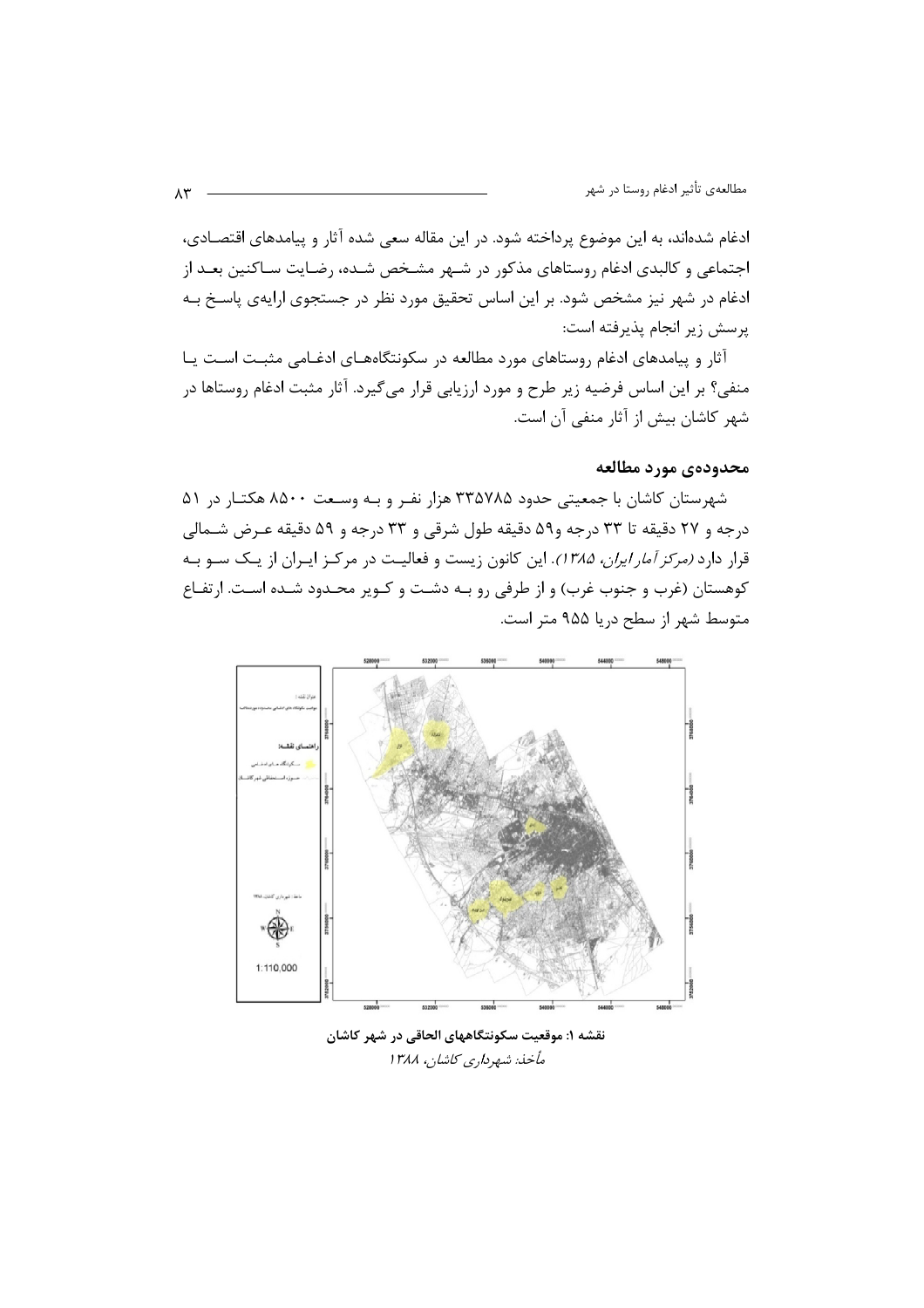ادغام شدهاند، به این موضوع پرداخته شود. در این مقاله سعی شده آثار و پیامدهای اقتصـادی، اجتماعی و کالبدی ادغام روستاهای مذکور در شـهر مشـخص شـده، رضـایت سـاکنین بعـد از ادغام در شهر نیز مشخص شود. بر این اساس تحقیق مورد نظر در جستجوی ارایهی پاسخ بـه پرسش زير انجام پذيرفته است:

آثار و پیامدهای ادغام روستاهای مورد مطالعه در سکونتگاههـای ادغـامی مثبـت اسـت یـا منفی؟ بر این اساس فرضیه زیر طرح و مورد ارزیابی قرار میگیرد. آثار مثبت ادغام روستاها در شهر كاشان بيش از آثار منفي آن است.

### محدودهي مورد مطالعه

شهرستان کاشان با جمعیتی حدود ۳۳۵۷۸۵ هزار نفـر و بـه وسـعت ۸۵۰۰ هکتـار در ۵۱ درجه و ۲۷ دقیقه تا ۳۳ درجه و۵۹ دقیقه طول شرقی و ۳۳ درجه و ۵۹ دقیقه عـرض شـمالی قرار دارد *(مرکز آمار ایران، ۱۳۸۵)*. این کانون زیست و فعالیـت در مرکـز ایـران از یـک سـو بـه کوهستان (غرب و جنوب غرب) و از طرفی رو بـه دشـت و کـویر محـدود شـده اسـت. ارتفـاع متوسط شهر از سطح دریا ۹۵۵ متر است.



نقشه ۱: موقعیت سکونتگاههای الحاقی در شهر کاشان مأخذ: شهرداري كاشان، ١٣٨٨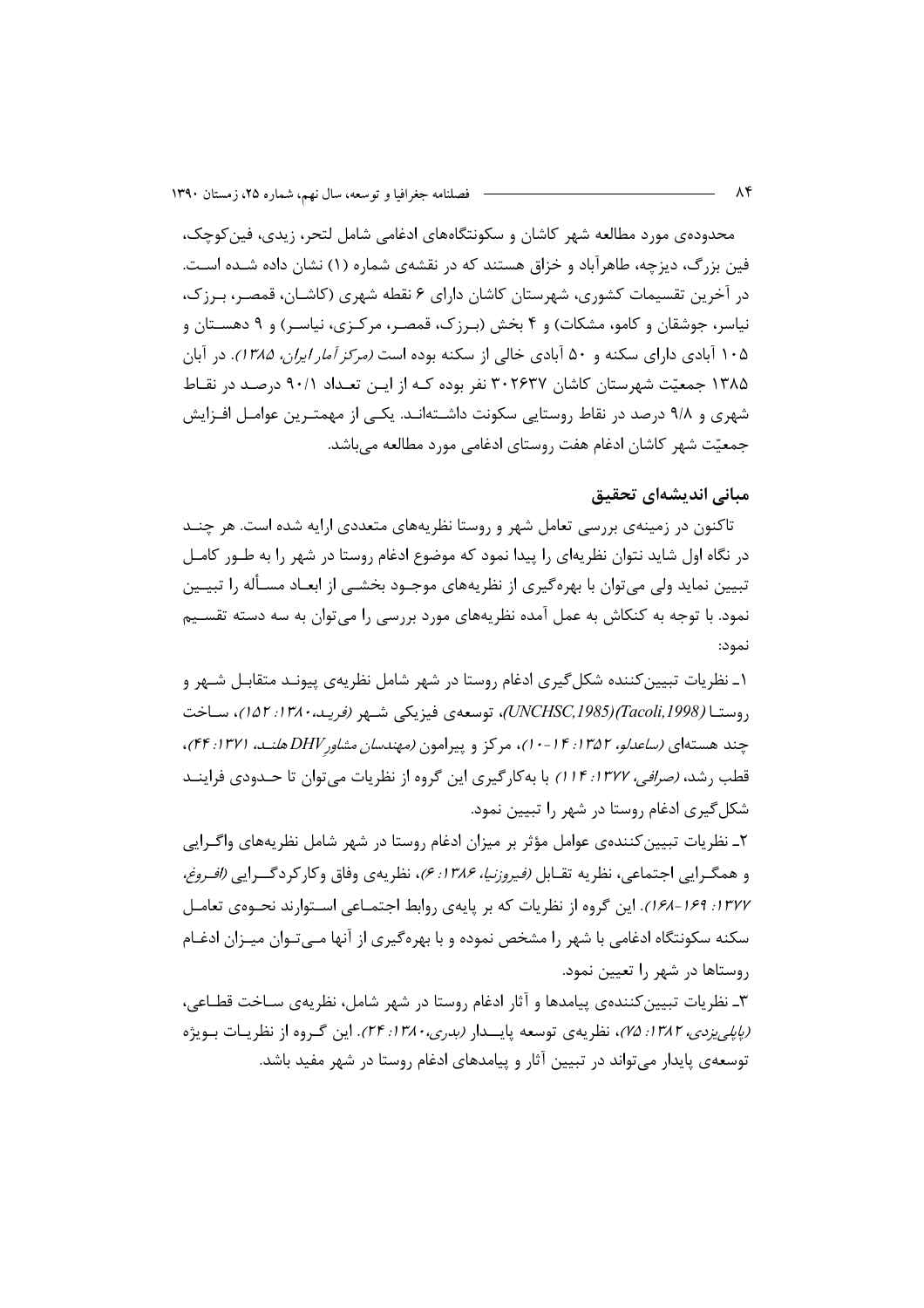محدودهی مورد مطالعه شهر کاشان و سکونتگاههای ادغامی شامل لتحر، زیدی، فین کوچک، فین بزرگ، دیزچه، طاهرآباد و خزاق هستند که در نقشهی شماره (۱) نشان داده شـده اسـت. در آخرین تقسیمات کشوری، شهرستان کاشان دارای ۶ نقطه شهری (کاشــان، قمصـر، بـرزک، نیاسر، جوشقان و کامو، مشکات) و ۴ بخش (برزک، قمصر، مرکـزی، نیاسـر) و ۹ دهسـتان و ۱۰۵ آبادی دارای سکنه و ۵۰ آبادی خالی از سکنه بوده است *(مرکز آمار ایران، ۱۳۸۵)*. در آبان ۱۳۸۵ جمعیّت شهرستان کاشان ۳۰۲۶۳۷ نفر بوده کـه از ایــن تعـداد ۹۰/۱ درصـد در نقــاط شهری و ۹/۸ درصد در نقاط روستایی سکونت داشـتهانـد. یکـی از مهمتـرین عوامـل افـزایش جمعیّت شهر کاشان ادغام هفت روستای ادغامی مورد مطالعه میباشد.

## مبانی اندیشهای تحقیق

تاکنون در زمینهی بررسی تعامل شهر و روستا نظریههای متعددی ارایه شده است. هر چنــد در نگاه اول شاید نتوان نظریهای را پیدا نمود که موضوع ادغام روستا در شهر را به طـور کامـل تبیین نماید ولی می;توان با بهرهگیری از نظریههای موجـود بخشــی از ابعــاد مسـأله را تبیــین نمود. با توجه به کنکاش به عمل آمده نظریههای مورد بررسی را می توان به سه دسته تقســیم نمود:

۱ـ نظریات تبیین کننده شکل گیری ادغام روستا در شهر شامل نظریهی پیونـد متقابـل شـهر و , وستــا (Tacoli, 1998) (UNCHSC, 1985)، توسعه ی فیزیکی شــهر (فریـد، ۱۳۸۰: ۱۵۲)، ســاخت چند هستهای *(ساعدلو، ۱۳۵۲: ۱۴-۱۰)*، مرکز و پیرامون *(مهندسان مشاور DHV هلنـد، ۱۳۷۱: ۴۴)*، قطب رشد، *(صرافی، ۱۳۷۲: ۱۱۴)* با به کار گیری این گروه از نظریات می توان تا حــدودی فراینــد شکل گیری ادغام روستا در شهر را تبیین نمود.

۲ـ نظريات تبيين كنندهى عوامل مؤثر بر ميزان ادغام روستا در شهر شامل نظريههاى واگـرايي و همگـرايي اجتماعي، نظريه تقـابل *(فيروزنيا، ۱۳۸۶: ۶)*، نظريهي وفاق وكاركردگــرايي *(افـروغ،* ۱۳۷۷: ۱۶۹–۱۶۸). این گروه از نظریات که بر پایهی روابط اجتمـاعی اسـتوارند نحـوهی تعامـل سکنه سکونتگاه ادغامی با شهر را مشخص نموده و با بهرهگیری از آنها مـیتـوان میـزان ادغـام روستاها در شهر را تعیین نمود.

۳ـ نظريات تبيين كنندهى پيامدها و آثار ادغام روستا در شهر شامل، نظريهى سـاخت قطـاعي، (پ*اپلي يزدي، ١٣٨٢: ٧۵)*، نظريهي توسعه پايــدار (بدري، ١٣٨٠: ٢۴). اين گـروه از نظريـات بـويژه توسعه ی پایدار می تواند در تبیین آثار و پیامدهای ادغام روستا در شهر مفید باشد.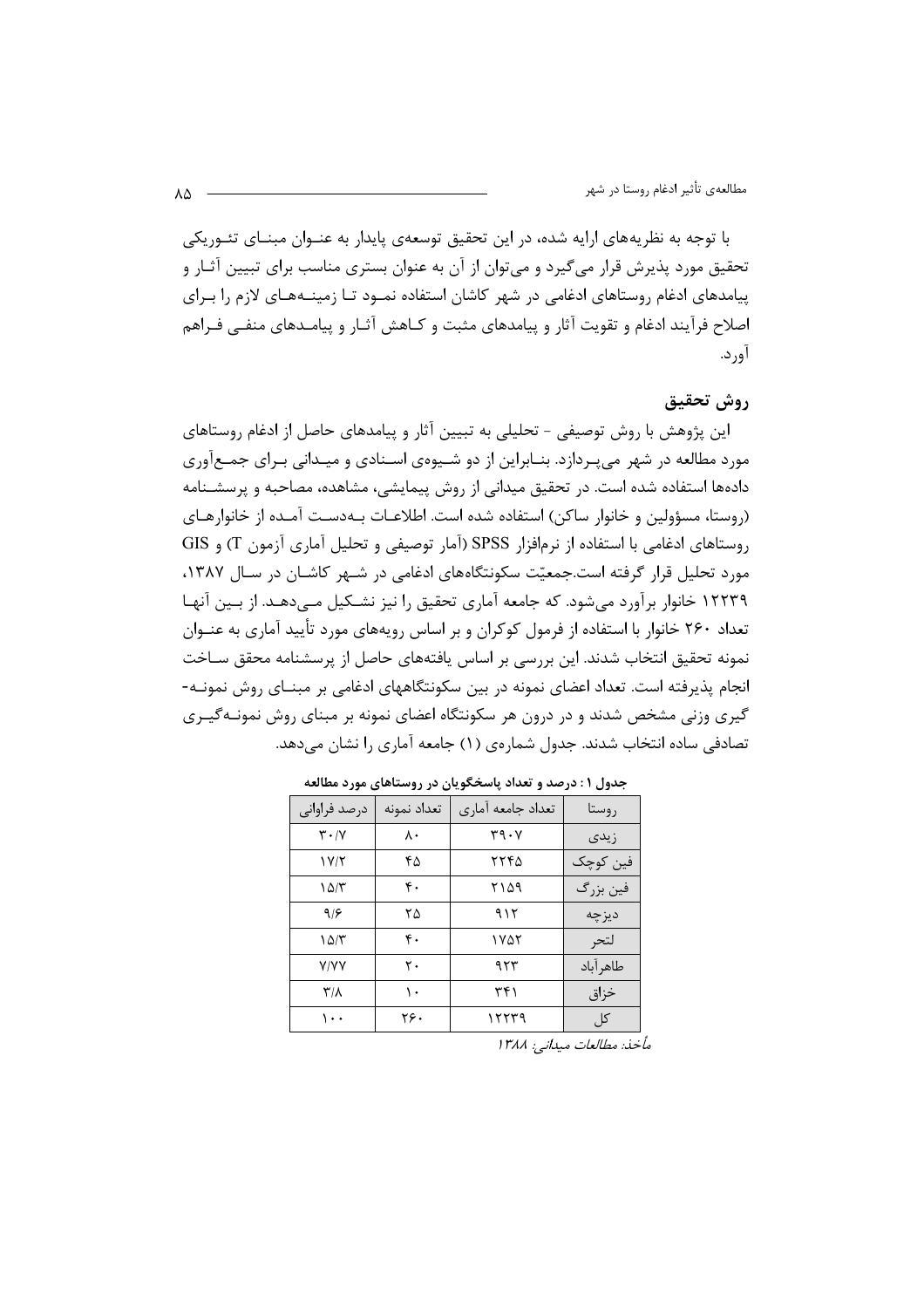با توجه به نظریههای ارایه شده، در این تحقیق توسعهی پایدار به عنــوان مبنــای تئــوریکی تحقیق مورد پذیرش قرار می گیرد و می توان از آن به عنوان بستری مناسب برای تبیین آثـار و پیامدهای ادغام روستاهای ادغامی در شهر کاشان استفاده نمـود تـا زمینـههـای لازم را بـرای اصلاح فرآیند ادغام و تقویت آثار و پیامدهای مثبت و کـاهش آثـار و پیامـدهای منفـی فـراهم آورد.

## روش تحقيق

این پژوهش با روش توصیفی - تحلیلی به تبیین آثار و پیامدهای حاصل از ادغام روستاهای مورد مطالعه در شهر می بردازد. بنـابراین از دو شـیوهی اسـنادی و میـدانی بـرای جمـعآوری دادهها استفاده شده است. در تحقیق میدانی از روش پیمایشی، مشاهده، مصاحبه و پرسشـنامه (روستا، مسؤولین و خانوار ساکن) استفاده شده است. اطلاعـات بـهدسـت آمـده از خانوا, هـای روستاهای ادغامی با استفاده از نرمافزار SPSS (آمار توصیفی و تحلیل آماری آزمون T) و GIS مورد تحلیل قرار گرفته است.جمعیّت سکونتگاههای ادغامی در شـهر کاشـان در سـال ۱۳۸۷، ۱۲۲۳۹ خانوار برآورد می شود. که جامعه آماری تحقیق را نیز نشـکیل مـی دهـد. از بـین آنهـا تعداد ۲۶۰ خانوار با استفاده از فرمول کوکران و بر اساس رویههای مورد تأیید آماری به عنــوان نمونه تحقیق انتخاب شدند. این بررسی بر اساس یافتههای حاصل از پرسشنامه محقق سـاخت انجام پذیرفته است. تعداد اعضای نمونه در بین سکونتگاههای ادغامی بر مبنــای روش نمونــه-گیری وزنی مشخص شدند و در درون هر سکونتگاه اعضای نمونه بر مبنای روش نمونـهگیـری تصادفی ساده انتخاب شدند. جدول شمارهی (۱) جامعه آماری را نشان می دهد.

| درصد فراوانی                  | تعداد نمونه | تعداد جامعه آماري | , وستا    |
|-------------------------------|-------------|-------------------|-----------|
| $\mathbf{r} \cdot \mathbf{v}$ | ٨٠          | ۳۹۰۷              | زيدى      |
| Y/Y                           | ۴۵          | ۲۲۴۵              | فين كوچک  |
| ۱۵/۳                          | ۴.          | ۲۱۵۹              | فين بزرگ  |
| 9/8                           | ۲۵          | ۹۱۲               | ديز چه    |
| ۱۵/۳                          | ۴.          | ۱۷۵۲              | لتحر      |
| <b>Y/YY</b>                   | ٢٠          | ۹۲۳               | طاهر آباد |
| $\mathsf{r}''$                | ١.          | ۳۴۱               | خزاق      |
| ۱۰۰                           | ۲۶.         | ۱۲۲۳۹             | کل        |

جدول ۱ : درصد و تعداد پاسخگویان در روستاهای مورد مطالعه

مأخذ: مطالعات ميداني: ١٣٨٨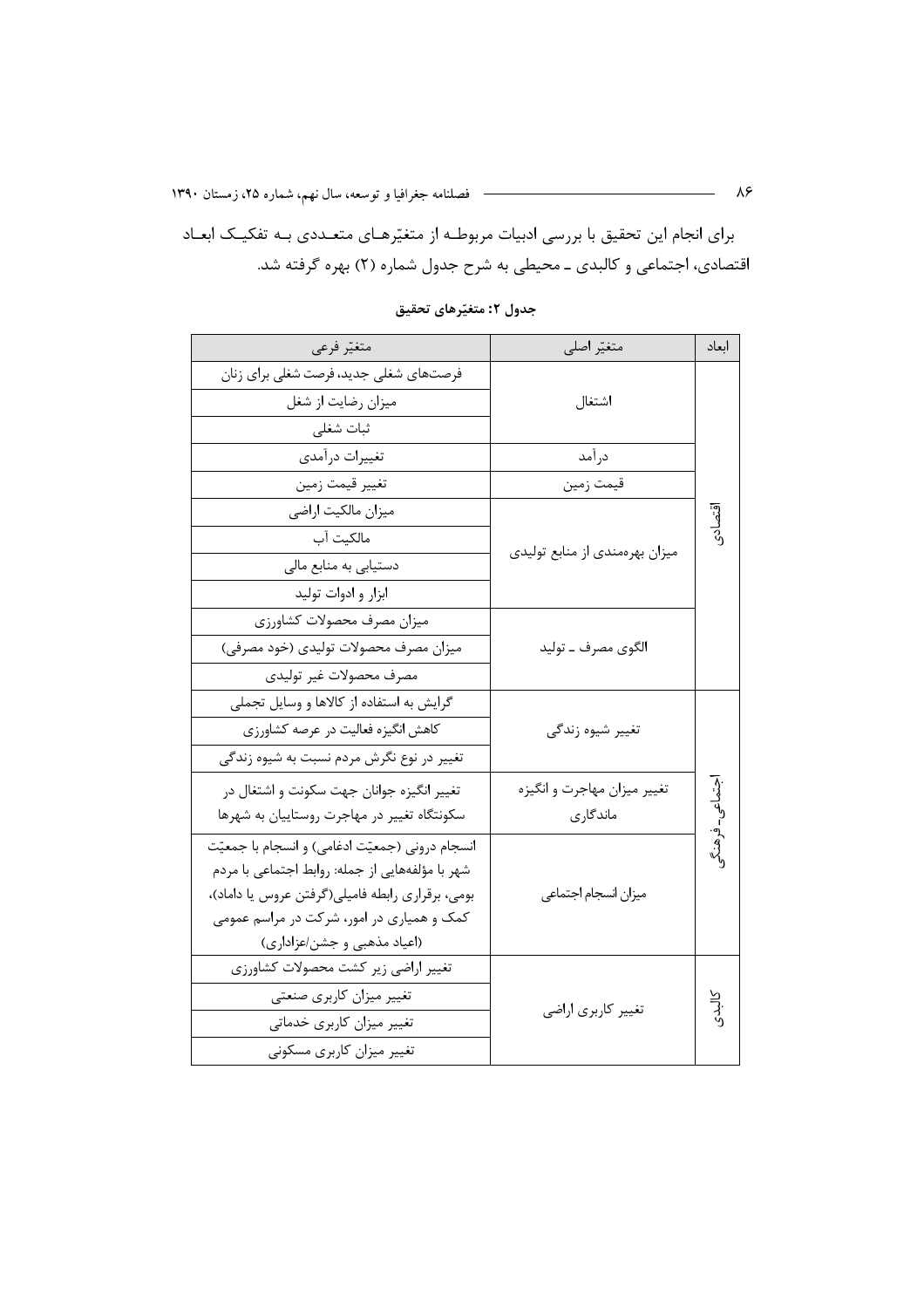برای انجام این تحقیق با بررسی ادبیات مربوطـه از متغیّرهـای متعـددی بـه تفکیـک ابعـاد اقتصادی، اجتماعی و کالبدی ــ محیطی به شرح جدول شماره (۲) بهره گرفته شد.

| متغيّر فرعي                                      | متغيّر اصلي                    | ابعاد         |
|--------------------------------------------------|--------------------------------|---------------|
| فرصتهای شغلی جدید، فرصت شغلی برای زنان           |                                |               |
| میزان رضایت از شغل                               | اشتغال                         |               |
| ثبات شغلى                                        |                                |               |
| تغييرات درآمدي                                   | درآمد                          |               |
| تغيير قيمت زمين                                  | قيمت زمين                      |               |
| ميزان مالكيت اراضى                               |                                |               |
| مالكيت آب                                        |                                |               |
| دستیابی به منابع مالی                            | میزان بهرهمندی از منابع تولیدی |               |
| ابزار و ادوات توليد                              |                                |               |
| ميزان مصرف محصولات كشاورزي                       |                                |               |
| میزان مصرف محصولات تولیدی (خود مصرفی)            | الگوی مصرف ــ توليد            |               |
| مصرف محصولات غير توليدي                          |                                |               |
| گرایش به استفاده از کالاها و وسایل تجملی         |                                |               |
| كاهش انگيزه فعاليت در عرصه كشاورزي               | تغيير شيوه زندگي               |               |
| تغییر در نوع نگرش مردم نسبت به شیوه زندگی        |                                |               |
| تغییر انگیزه جوانان جهت سکونت و اشتغال در        | تغيير ميزان مهاجرت و انگيزه    |               |
| سکونتگاه تغییر در مهاجرت روستاییان به شهرها      | ماندگاری                       | جتماعی-فرهنگو |
| انسجام درونی (جمعیّت ادغامی) و انسجام با جمعیّت  |                                |               |
| شهر با مؤلفههایی از جمله: روابط اجتماعی با مردم  |                                |               |
| بومی، برقراری رابطه فامیلی(گرفتن عروس یا داماد)، | ميزان انسجام اجتماعي           |               |
| کمک و همیاری در امور، شرکت در مراسم عمومی        |                                |               |
| (اعیاد مذهبی و جشن/عزاداری)                      |                                |               |
| تغيير اراضي زير كشت محصولات كشاورزي              |                                |               |
| تغییر میزان کاربری صنعتی                         | تغيير كاربري اراضي             | كالبدي        |
| تغییر میزان کاربری خدماتی                        |                                |               |
| تغییر میزان کاربری مسکونی                        |                                |               |

جدول ۲: متغیّرهای تحقیق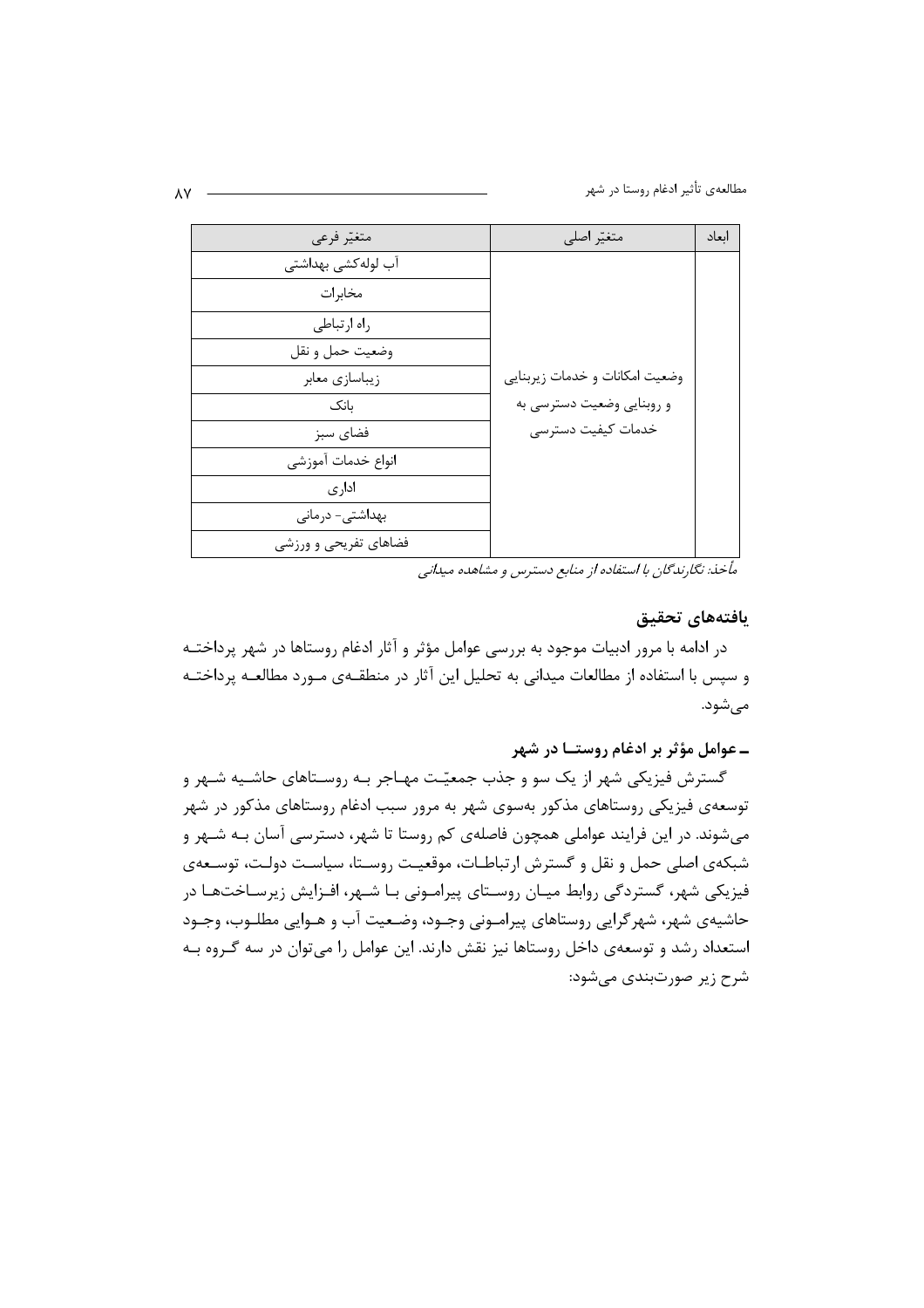مطالعهي تأثير ادغام روستا در شهر

| متغيّر فرعي           | متغيّر اصلي                    | اىعاد |
|-----------------------|--------------------------------|-------|
| آب لوله كشى بهداشتى   |                                |       |
| مخابرات               |                                |       |
| راه ارتباطي           |                                |       |
| وضعيت حمل و نقل       |                                |       |
| زيباسازي معابر        | وضعيت امكانات و خدمات زيربنايي |       |
| بانک                  | و روبنایی وضعیت دسترسی به      |       |
| فضاى سبز              | خدمات كيفيت دسترسى             |       |
| انواع خدمات آموزشي    |                                |       |
| ادار ی                |                                |       |
| بهداشتی- درمانی       |                                |       |
| فضاهای تفریحی و ورزشی |                                |       |

مأخذ: نگارندگان با استفاده از منابع دسترس و مشاهده میدانی

#### يافتههاى تحقيق

در ادامه با مرور ادبیات موجود به بررسی عوامل مؤثر و آثار ادغام روستاها در شهر پرداختـه و سپس با استفاده از مطالعات میدانی به تحلیل این آثار در منطقـهی مـورد مطالعـه پرداختـه مىشود.

## ـ عوامل مؤثر بر ادغام روستــا در شهر

گسترش فیزیکی شهر از یک سو و جذب جمعیّت مهـاجر بـه روسـتاهای حاشـیه شـهر و توسعهی فیزیکی روستاهای مذکور بهسوی شهر به مرور سبب ادغام روستاهای مذکور در شهر میشوند. در این فرایند عواملی همچون فاصلهی کم روستا تا شهر، دسترسی آسان بـه شـهر و شبکهی اصلی حمل و نقل و گسترش ارتباطـات، موقعیـت روسـتا، سیاسـت دولـت، توسـعهی فیزیکی شهر، گستردگی روابط میـان روسـتای پیرامـونی بـا شـهر، افـزایش زیرسـاختهـا در حاشیهی شهر، شهر گرایی روستاهای پیرامـونی وجـود، وضـعیت آب و هـوایی مطلـوب، وجـود استعداد رشد و توسعهی داخل روستاها نیز نقش دارند. این عوامل را می توان در سه گروه بـه شرح زیر صورتبندی میشود: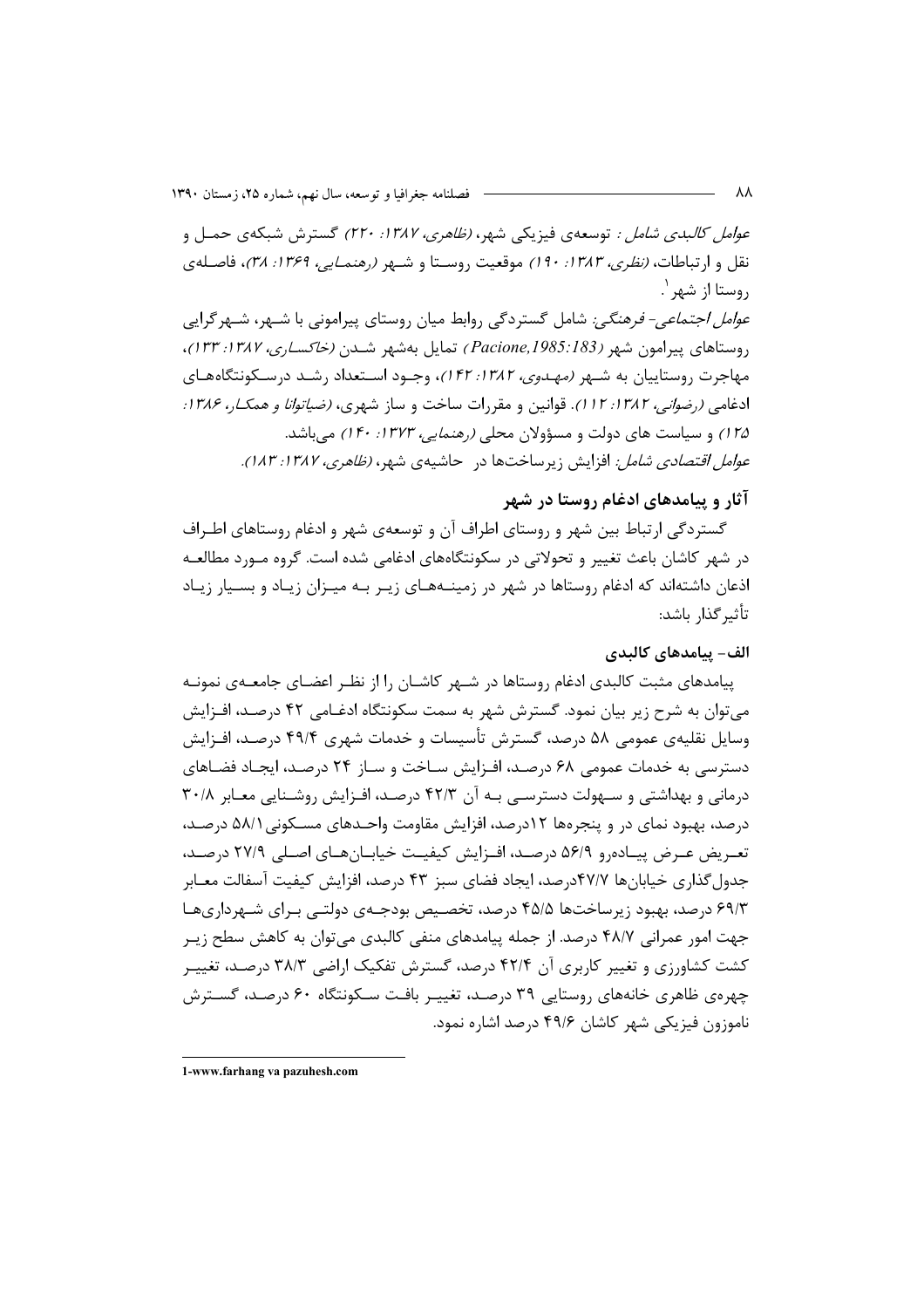*عوامل كالبدي شامل :* توسعهي فيزيكي شهر، *(ظاهري، ١٣٨٧: ٢٢٠)* گسترش شبكهي حمـل و نقل و ارتباطات، *(نظرى، ١٣٨٣: ١٩٠)* موقعيت روستا و شـهر *(رهنمـايي، ١٣۶٩: ٣٨)*، فاصـلهى روستا از شهر `. *عوامل اجتماعی- فرهنگی:* شامل گستردگی روابط میان روستای پیرامونی با شـهر، شـهر گرایی روستاهای پیرامون شهر (Pacione, 1985: 183) تمایل بهشهر شــدن *(خاکســاری، ۱۳۸۷: ۱۳۳)*، مهاجرت روستاییان به شـهر *(مهـدوی، ۱۳۸۲: ۱۴۲)*، وجـود اسـتعداد رشـد درسـكونتگاههـای ادغامي (رضو*اني، ١٣٨٢: ١١٢)*. قوانين و مقررات ساخت و ساز شهري، *(ضياتوانا و همكـا، ١٣٨۶:* ۱۲۵) و سیاست های دولت و مسؤولان محلی *(رهنمایی، ۱۳۷۳: ۱۴۰)* می باشد. *عوامل اقتصادی شامل:* افزایش زیرساختها در حاشیهی شهر، *(ظاهری، ۱۳۸۷: ۱۸۳).* 

# آثار و پیامدهای ادغام روستا در شهر

گستردگی ارتباط بین شهر و روستای اطراف آن و توسعهی شهر و ادغام روستاهای اطـراف در شهر کاشان باعث تغییر و تحولاتی در سکونتگاههای ادغامی شده است. گروه مـورد مطالعـه اذعان داشتهاند که ادغام روستاها در شهر در زمینـههـای زیـر بـه میـزان زیـاد و بسـیار زیـاد تأثير گذار باشد:

# الف- يبامدهاي كالبدي

پیامدهای مثبت کالبدی ادغام روستاها در شـهر کاشـان را از نظـر اعضـای جامعــهی نمونــه میتوان به شرح زیر بیان نمود. گسترش شهر به سمت سکونتگاه ادغـامے ٬ ۴۲ درصـد، افـزایش وسايل نقليهي عمومي ۵۸ درصد، گسترش تأسيسات و خدمات شهري ۴۹/۴ درصـد، افـزايش دسترسی به خدمات عمومی ۶۸ درصد، افـزایش سـاخت و سـاز ۲۴ درصـد، ایجـاد فضـاهای درمانی و بهداشتی و سیهولت دسترسـی بـه آن ۴۲/۳ درصـد، افـزایش روشـنایی معـابر ۳۰/۸ درصد، بهبود نمای در و پنجرهها ۱۲درصد، افزایش مقاومت واحـدهای مسـکونی ۵۸/۱ درصـد، تعـريض عـرض پيــادهرو ۵۶/۹ درصـد، افــزايش كيفيــت خيابــانهــاي اصــلى ٢٧/٩ درصــد، جدول گذاری خیابانها ۴۷/۷درصد، ایجاد فضای سبز ۴۳ درصد، افزایش کیفیت آسفالت معـابر ۶۹/۳ درصد، بهبود زیرساختها ۴۵/۵ درصد، تخصیص بودجـهی دولتـی بـرای شـهرداریهـا جهت امور عمرانی ۴۸/۷ درصد. از جمله پیامدهای منفی کالبدی می توان به کاهش سطح زیـر کشت کشاورزی و تغییر کاربری آن ۴۲/۴ درصد، گسترش تفکیک اراضی ۳۸/۳ درصد، تغییـر چهرهی ظاهری خانههای روستایی ۳۹ درصد، تغییـر بافـت سـکونتگاه ۶۰ درصـد، گسـترش ناموزون فيزيكي شهر كاشان ۴۹/۶ درصد اشاره نمود.

<sup>1-</sup>www.farhang va pazuhesh.com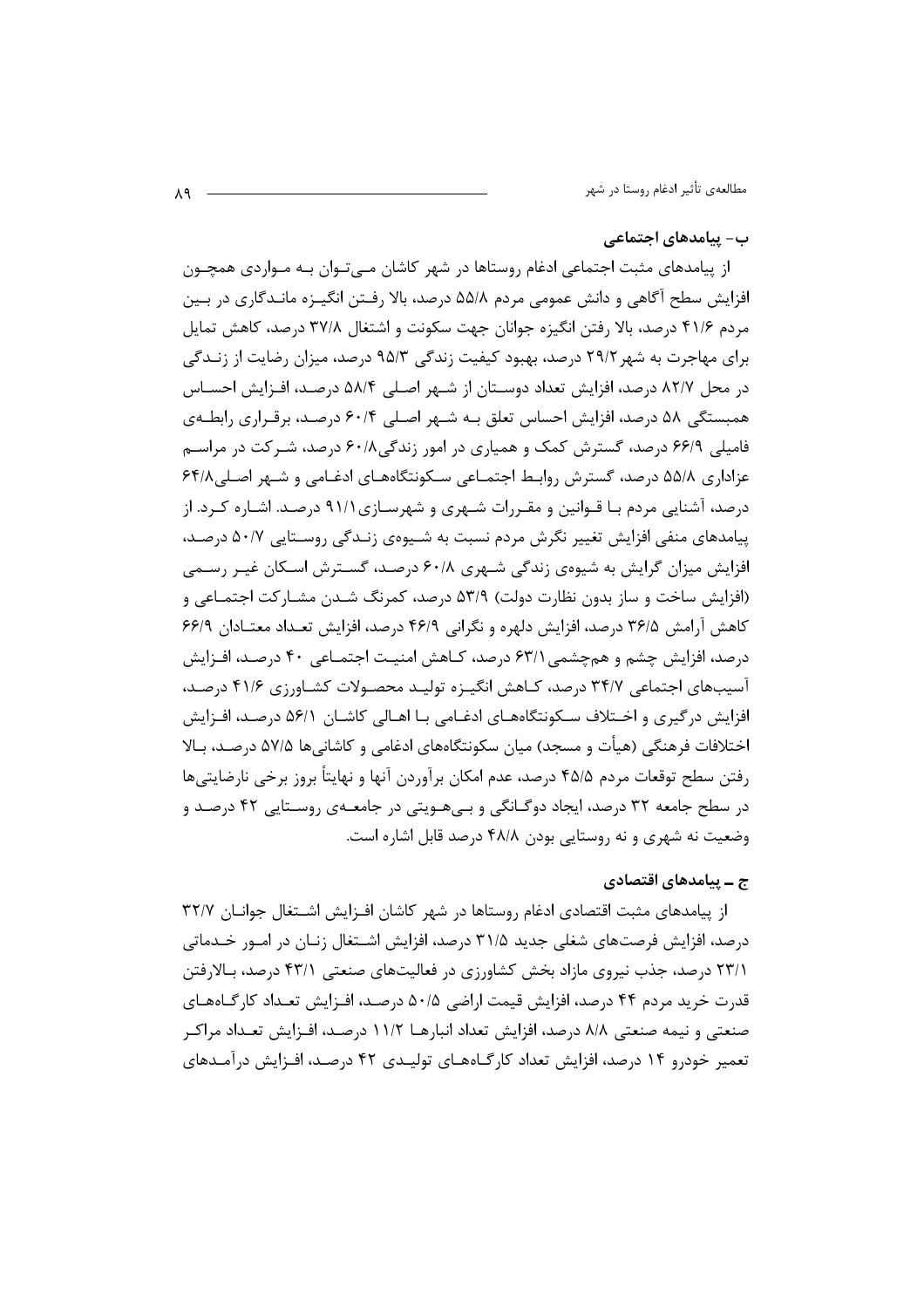#### ب– پیامدهای اجتماعی

از پیامدهای مثبت اجتماعی ادغام روستاها در شهر کاشان مـی تـوان بـه مـواردی همچـون افزایش سطح آگاهی و دانش عمومی مردم ۵۵/۸ درصد، بالا رفـتن انگیـزه مانـدگاری در بـین مردم ۴۱/۶ درصد، بالا رفتن انگیزه جوانان جهت سکونت و اشتغال ۳۷/۸ درصد، کاهش تمایل برای مهاجرت به شهر ۲۹/۲ درصد، بهبود کیفیت زندگی ۹۵/۳ درصد، میزان رضایت از زنـدگی در محل ۸۲/۷ درصد، افزایش تعداد دوسـتان از شـهر اصـلی ۵۸/۴ درصـد، افـزایش احسـاس همبستگی ۵۸ درصد، افزایش احساس تعلق بـه شـهر اصـلی ۶۰/۴ درصـد، برقـراری رابطـهی فامیلی ۶۶/۹ درصد، گسترش کمک و همیاری در امور زندگی۶۰/۸ درصد، شـرکت در مراسـم عزاداری ۵۵/۸ درصد، گسترش روابط اجتمـاعی سـکونتگاههـای ادغـامی و شـهر اصـلی۸/۶۴ درصد، آشنایی مردم بـا قـوانین و مقـررات شـهری و شهرسـازی۹۱/۱ درصـد. اشـاره کـرد. از یپامدهای منفی افزایش تغییر نگرش مردم نسبت به شـیوهی زنـدگی روسـتایی ۵۰/۷ درصـد، افزایش میزان گرایش به شیوهی زندگی شـهری ۶۰/۸ درصـد، گسـترش اسـکان غیـر رسـمی (افزایش ساخت و ساز بدون نظارت دولت) ۵۳/۹ درصد، کمرنگ شـدن مشـارکت اجتمـاعی و كاهش آرامش ۳۶/۵ درصد، افزایش دلهره و نگرانی ۴۶/۹ درصد، افزایش تعـداد معتـادان ۶۶/۹ درصد، افزایش چشم و همچشمی ۶۳/۱ درصد، کـاهش امنیـت اجتمـاعی ۴۰ درصـد، افـزایش آسیبهای اجتماعی ۳۴/۷ درصد، کـاهش انگیـزه تولیـد محصـولات کشـاورزی ۴۱/۶ درصـد، افزایش در گیری و اخـتلاف سـکونتگاههـای ادغـامی بـا اهـالی کاشـان ۵۶/۱ درصـد، افـزایش اختلافات فرهنگی (هیأت و مسجد) میان سکونتگاههای ادغامی و کاشانیها ۵۷/۵ درصـد، بـالا رفتن سطح توقعات مردم ۴۵/۵ درصد، عدم امکان برآوردن آنها و نهایتاً بروز برخی نارضایتیها در سطح جامعه ۳۲ درصد، ایجاد دوگـانگی و بـیهـویتی در جامعـهی روسـتایی ۴۲ درصـد و وضعیت نه شهری و نه روستایی بودن ۴۸/۸ درصد قابل اشاره است.

## ج ــ پیامدهای اقتصادی

از پیامدهای مثبت اقتصادی ادغام روستاها در شهر کاشان افـزایش اشـتغال جوانـان ٣٢/٧ درصد، افزایش فرصتهای شغلی جدید ۳۱/۵ درصد، افزایش اشــتغال زنــان در امــور خــدماتی ۲۳/۱ درصد، جذب نیروی مازاد بخش کشاورزی در فعالیتهای صنعتی ۴۳/۱ درصد، بـالارفتن قدرت خرید مردم ۴۴ درصد، افزایش قیمت اراضی ۵۰/۵ درصـد، افــزایش تعــداد کارگــاههــای صنعتی و نیمه صنعتی ۸/۸ درصد، افزایش تعداد انبارهـا ۱۱/۲ درصـد، افـزایش تعـداد مراکـر تعمیر خودرو ۱۴ درصد، افزایش تعداد کارگــاههــای تولیــدی ۴۲ درصــد، افــزایش درآمــدهای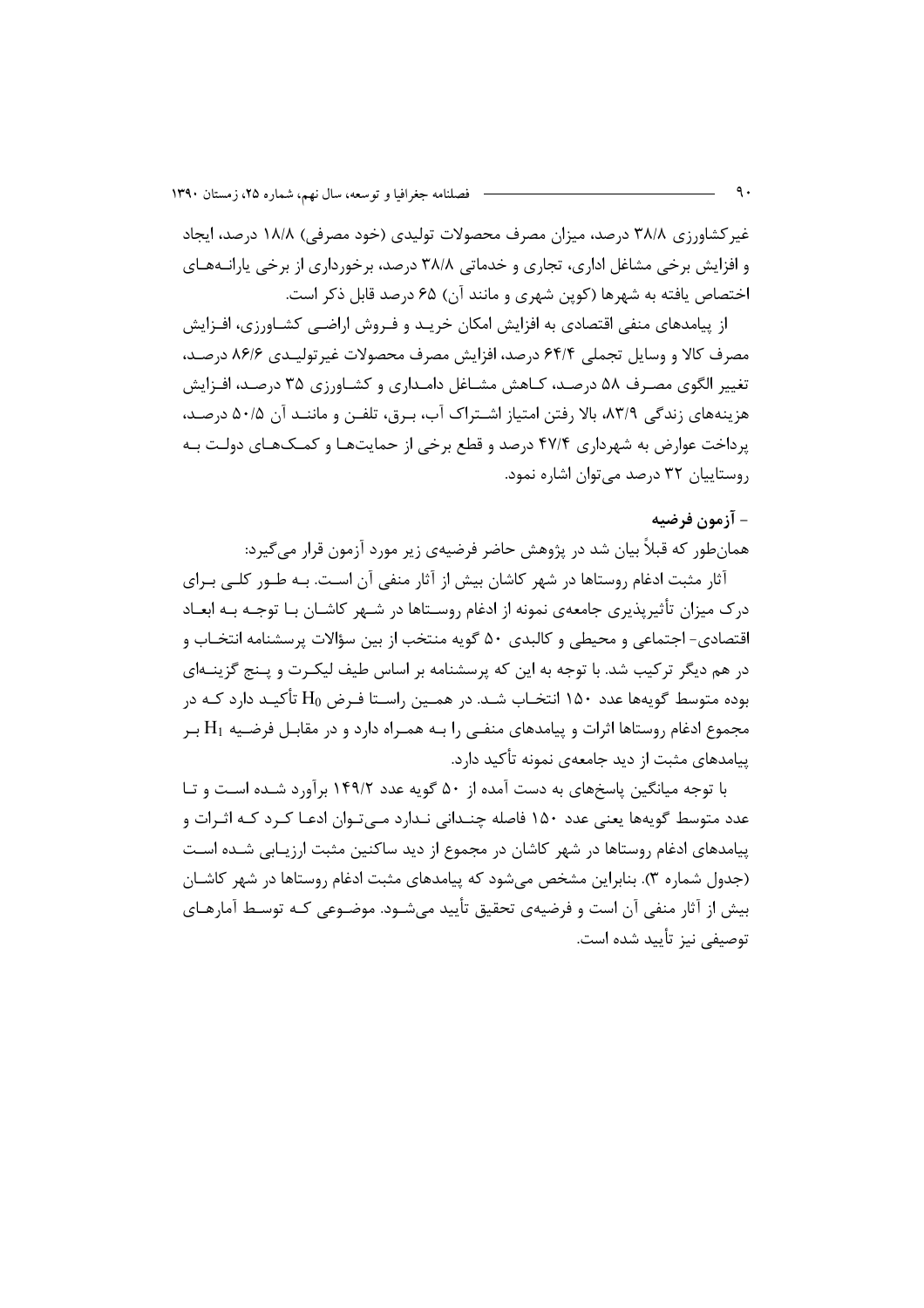غیر کشاورزی ۳۸/۸ درصد، میزان مصرف محصولات تولیدی (خود مصرفی) ۱۸/۸ درصد، ایجاد و افزایش برخی مشاغل اداری، تجاری و خدماتی ۳۸/۸ درصد، برخورداری از برخی پارانــههــای اختصاص یافته به شهرها (کوین شهری و مانند آن) ۶۵ درصد قابل ذکر است.

از پیامدهای منفی اقتصادی به افزایش امکان خریــد و فـروش اراضــی کشــاورزی، افــزایش مصرف كالا و وسايل تجملي ۶۴/۴ درصد، افزايش مصرف محصولات غيرتوليـدي ۸۶/۶ درصـد، تغییر الگوی مصـرف ۵۸ درصـد، کـاهش مشـاغل دامـداری و کشـاورزی ۳۵ درصـد، افـزایش هزینههای زندگی ۸۳/۹، بالا رفتن امتیاز اشـتراک آب، بـرق، تلفـن و ماننـد آن ۵۰/۵ درصـد، پرداخت عوارض به شهرداری ۴۷/۴ درصد و قطع برخی از حمایتها و کمکهای دولت بـه روستاییان ۳۲ درصد مے توان اشارہ نمود.

# – آزمون فرضيه

همانطور که قبلاً بیان شد در پژوهش حاضر فرضیهی زیر مورد آزمون قرار میگیرد:

آثار مثبت ادغام روستاها در شهر كاشان بيش از آثار منفى آن است. بـه طـور كلـى بـراى درک میزان تأثیرپذیری جامعهی نمونه از ادغام روسـتاها در شـهر کاشـان بـا توجـه بـه ابعـاد اقتصادی- اجتماعی و محیطی و کالبدی ۵۰ گویه منتخب از بین سؤالات پرسشنامه انتخـاب و در هم دیگر ترکیب شد. با توجه به این که پرسشنامه بر اساس طیف لیکـرت و پـنج گزینــهای بوده متوسط گویهها عدد ۱۵۰ انتخـاب شـد. در همـین راسـتا فـرض H<sub>0</sub> تأکیـد دارد کـه در مجموع ادغام روستاها اثرات و پیامدهای منفـی را بـه همـراه دارد و در مقابـل فرضـیه  $\rm{H}_{1}$  بـر ییامدهای مثبت از دید جامعهی نمونه تأکید دارد.

با توجه میانگین پاسخهای به دست آمده از ۵۰ گویه عدد ۱۴۹/۲ برآورد شـده اسـت و تـا عدد متوسط گویهها یعنی عدد ۱۵۰ فاصله چنـدانی نـدارد مــ تـوان ادعـا کـرد کـه اثـرات و پیامدهای ادغام روستاها در شهر کاشان در مجموع از دید ساکنین مثبت ارزیـابی شـده اسـت (جدول شماره ۳). بنابراین مشخص میشود که پیامدهای مثبت ادغام روستاها در شهر کاشـان بیش از آثار منفی آن است و فرضیهی تحقیق تأیید مے شـود. موضـوعی کـه توسـط آمارهـای توصيفي نيز تأييد شده است.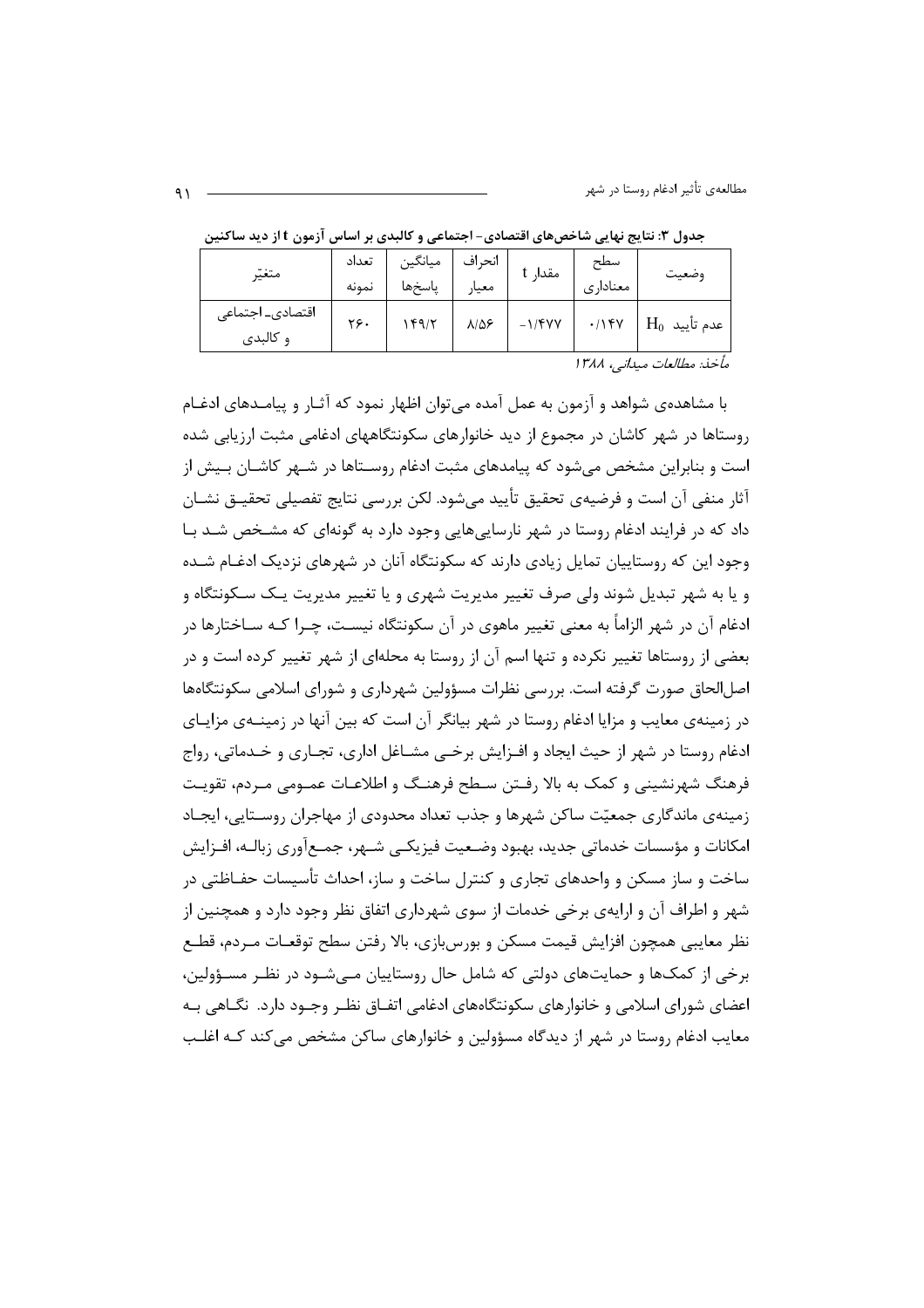مطالعهی تأثیر ادغام روستا در شهر

| متغيّر                       | تعداد<br>نمونه | انحراف   میانگین<br>  معیار   پاسخها |                    | مقدار t   | سطح<br>معناداري | وضعيت                |
|------------------------------|----------------|--------------------------------------|--------------------|-----------|-----------------|----------------------|
| اقتصادى_ اجتماعى<br>و کالېدى | ۲۶۰            | 149/7                                | $\lambda/\Delta$ ۶ | $-1$ /۴۷۷ | .115Y           | $\rm{H_0}$ عدم تأييد |

جدول ۳: نتایج نهایی شاخصهای اقتصادی- اجتماعی و کالبدی بر اساس آزمون t از دید ساکنین

مأخذ: مطالعات ميداني، ١٣٨٨

با مشاهدهی شواهد و آزمون به عمل آمده می توان اظهار نمود که آثـار و پیامـدهای ادغـام روستاها در شهر کاشان در مجموع از دید خانوارهای سکونتگاههای ادغامی مثبت ارزیابی شده است و بنابراین مشخص می شود که پیامدهای مثبت ادغام روسـتاها در شـهر کاشـان بـیش از آثار منفي آن است و فرضيهي تحقيق تأييد ميشود. لكن بررسي نتايج تفصيلي تحقيــق نشــان داد که در فرایند ادغام روستا در شهر نارساییهایی وجود دارد به گونهای که مشخص شـد بـا وجود این که روستاییان تمایل زیادی دارند که سکونتگاه آنان در شهرهای نزدیک ادغـام شــده و يا به شهر تبديل شوند ولي صرف تغيير مديريت شهري و يا تغيير مديريت يـک ســکونتگاه و ادغام آن در شهر الزاماً به معنى تغيير ماهوى در آن سكونتگاه نيسـت، چــرا كــه ســاختارها در بعضی از روستاها تغییر نکرده و تنها اسم آن از روستا به محلهای از شهر تغییر کرده است و در اصل|لحاق صورت گرفته است. بررسی نظرات مسؤولین شهرداری و شورای اسلامی سکونتگاهها در زمینهی معایب و مزایا ادغام روستا در شهر بیانگر آن است که بین آنها در زمینــهی مزایــای ادغام روستا در شهر از حیث ایجاد و افـزایش برخــی مشــاغل اداری، تجــاری و خــدماتی، رواج فرهنگ شهرنشینی و کمک به بالا رفتن سـطح فرهنـگ و اطلاعـات عمـومی مـردم، تقویـت زمینهی ماندگاری جمعیّت ساکن شهرها و جذب تعداد محدودی از مهاجران روسـتایی، ایجـاد امکانات و مؤسسات خدماتی جدید، بهبود وضـعیت فیزیکـی شـهر، جمـعآوری زبالـه، افـزایش ساخت و ساز مسکن و واحدهای تجاری و کنترل ساخت و ساز، احداث تأسیسات حفـاظتی در شهر و اطراف آن و ارایهی برخی خدمات از سوی شهرداری اتفاق نظر وجود دارد و همچنین از نظر معايبي همچون افزايش قيمت مسكن و بورس،إزي، بالا رفتن سطح توقعـات مـردم، قطـع برخی از کمکها و حمایتهای دولتی که شامل حال روستاییان مـیشـود در نظـر مسـؤولین، اعضای شورای اسلامی و خانوارهای سکونتگاههای ادغامی اتفـاق نظـر وجـود دارد. نگــاهی بـه معایب ادغام روستا در شهر از دیدگاه مسؤولین و خانوارهای ساکن مشخص می کند کـه اغلـب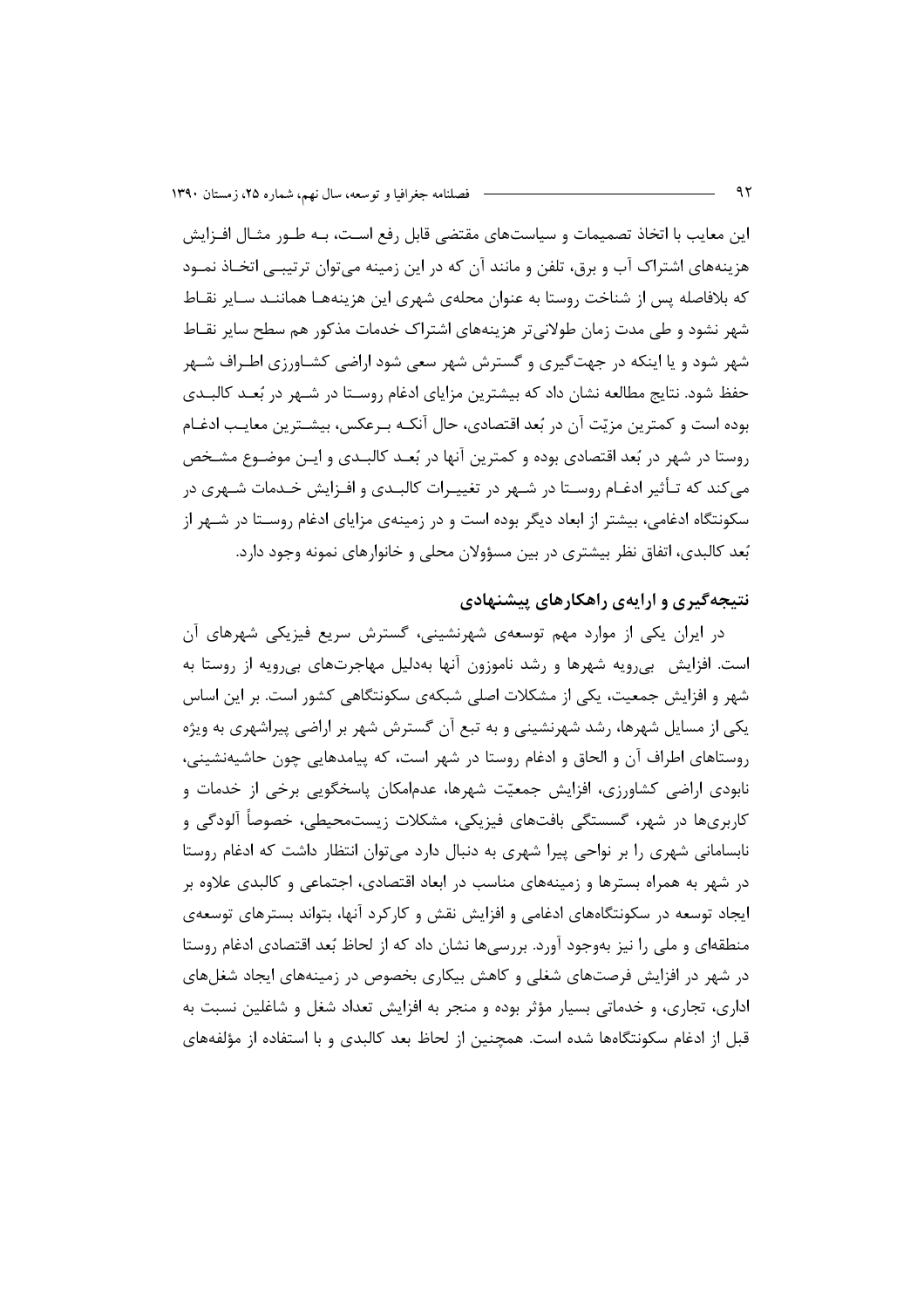این معایب با اتخاذ تصمیمات و سیاستهای مقتضی قابل رفع اسـت، بـه طـور مثـال افـزایش هزینههای اشتراک آب و برق، تلفن و مانند آن که در این زمینه میتوان ترتیبـی اتخـاذ نمـود که بلافاصله پس از شناخت روستا به عنوان محلهی شهری این هزینههـا هماننـد سـایر نقـاط شهر نشود و طی مدت زمان طولانی تر هزینههای اشتراک خدمات مذکور هم سطح سایر نقــاط شهر شود و یا اینکه در جهتگیری و گسترش شهر سعی شود اراضی کشـاورزی اطـراف شـهر حفظ شود. نتایج مطالعه نشان داد که بیشترین مزایای ادغام روسـتا در شـهر در بُعـد کالبـدی بوده است و كمترين مزيّت آن در بُعد اقتصادي، حال آنكـه بـرعكس، بيشـترين معايـب ادغـام روستا در شهر در بُعد اقتصادي بوده و كمترين آنها در بُعـد كالبـدي و ايـن موضـوع مشـخص می کند که تـأثیر ادغـام روسـتا در شـهر در تغییـرات کالبـدی و افـزایش خـدمات شـهری در سکونتگاه ادغامی، بیشتر از ابعاد دیگر بوده است و در زمینهی مزایای ادغام روسـتا در شـهر از بُعد کالبدی، اتفاق نظر بیشتری در بین مسؤولان محلی و خانوارهای نمونه وجود دارد.

#### نتیجهگیری و ارایهی راهکارهای پیشنهادی

در ایران یکی از موارد مهم توسعهی شهرنشینی، گسترش سریع فیزیکی شهرهای آن است. افزایش بهرویه شهرها و رشد ناموزون آنها بهدلیل مهاجرتهای بیرویه از روستا به شهر و افزایش جمعیت، یکی از مشکلات اصلی شبکهی سکونتگاهی کشور است. بر این اساس یکی از مسایل شهرها، رشد شهرنشینی و به تبع آن گسترش شهر بر اراضی پیراشهری به ویژه روستاهای اطراف آن و الحاق و ادغام روستا در شهر است، که پیامدهایی چون حاشیهنشینی، نابودی اراضی کشاورزی، افزایش جمعیّت شهرها، عدم|مکان پاسخگویی برخی از خدمات و کاربریها در شهر، گسستگی بافتهای فیزیکی، مشکلات زیستمحیطی، خصوصاً آلودگی و نابسامانی شهری را بر نواحی پیرا شهری به دنبال دارد می توان انتظار داشت که ادغام روستا در شهر به همراه بسترها و زمینههای مناسب در ابعاد اقتصادی، اجتماعی و کالبدی علاوه بر ایجاد توسعه در سکونتگاههای ادغامی و افزایش نقش و کارکرد آنها، بتواند بسترهای توسعهی منطقهای و ملی را نیز بهوجود آورد. بررسی ها نشان داد که از لحاظ بُعد اقتصادی ادغام روستا در شهر در افزایش فرصتهای شغلی و کاهش بیکاری بخصوص در زمینههای ایجاد شغلهای اداری، تجاری، و خدماتی بسیار مؤثر بوده و منجر به افزایش تعداد شغل و شاغلین نسبت به قبل از ادغام سکونتگاهها شده است. همچنین از لحاظ بعد کالبدی و با استفاده از مؤلفههای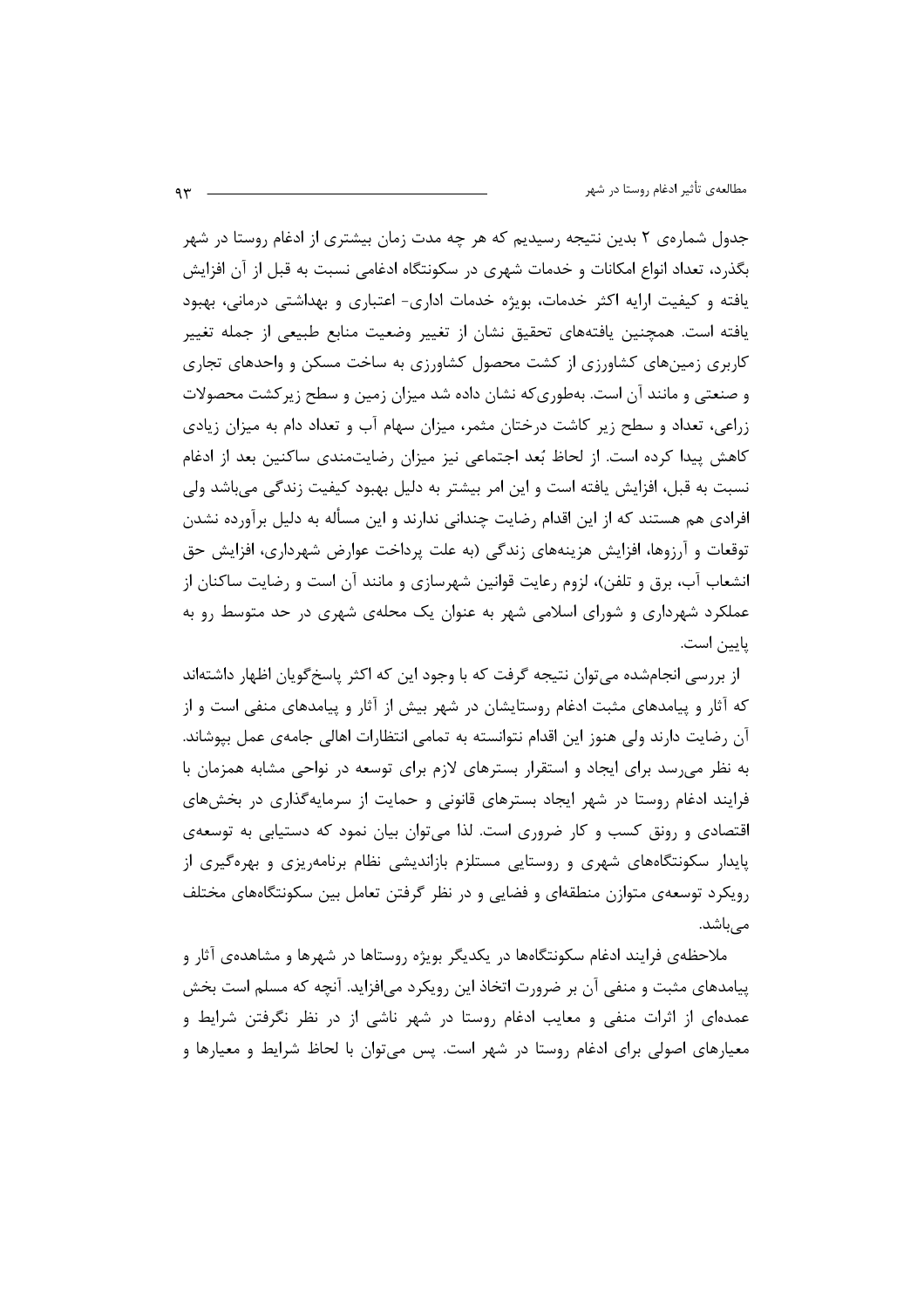جدول شمارهی ۲ بدین نتیجه رسیدیم که هر چه مدت زمان بیشتری از ادغام روستا در شهر بگذرد، تعداد انواع امکانات و خدمات شهری در سکونتگاه ادغامی نسبت به قبل از آن افزایش یافته و کیفیت ارایه اکثر خدمات، بویژه خدمات اداری- اعتباری و بهداشتی درمانی، بهبود یافته است. همچنین یافتههای تحقیق نشان از تغییر وضعیت منابع طبیعی از جمله تغییر کاربری زمینهای کشاورزی از کشت محصول کشاورزی به ساخت مسکن و واحدهای تجاری و صنعتی و مانند آن است. بهطوری که نشان داده شد میزان زمین و سطح زیر کشت محصولات زراعی، تعداد و سطح زیر کاشت درختان مثمر، میزان سهام آب و تعداد دام به میزان زیادی کاهش پیدا کرده است. از لحاظ بُعد اجتماعی نیز میزان رضایتمندی ساکنین بعد از ادغام نسبت به قبل، افزایش یافته است و این امر بیشتر به دلیل بهبود کیفیت زندگی میباشد ولی افرادی هم هستند که از این اقدام رضایت چندانی ندارند و این مسأله به دلیل برآورده نشدن توقعات و آرزوها، افزایش هزینههای زندگی (به علت پرداخت عوارض شهرداری، افزایش حق انشعاب آب، برق و تلفن)، لزوم رعايت قوانين شهرسازي و مانند آن است و رضايت ساكنان از عملکرد شهرداری و شورای اسلامی شهر به عنوان یک محلهی شهری در حد متوسط رو به ياپين است.

از بررسی انجامشده می توان نتیجه گرفت که با وجود این که اکثر پاسخ گویان اظهار داشتهاند که آثار و پیامدهای مثبت ادغام روستایشان در شهر بیش از آثار و پیامدهای منفی است و از آن رضایت دارند ولی هنوز این اقدام نتوانسته به تمامی انتظارات اهالی جامهی عمل بپوشاند. به نظر می رسد برای ایجاد و استقرار بسترهای لازم برای توسعه در نواحی مشابه همزمان با فرایند ادغام روستا در شهر ایجاد بسترهای قانونی و حمایت از سرمایهگذاری در بخشهای اقتصادی و رونق کسب و کار ضروری است. لذا می توان بیان نمود که دستیابی به توسعهی پایدار سکونتگاههای شهری و روستایی مستلزم بازاندیشی نظام برنامهریزی و بهرهگیری از رویکرد توسعهی متوازن منطقهای و فضایی و در نظر گرفتن تعامل بین سکونتگاههای مختلف می باشد.

ملاحظهی فرایند ادغام سکونتگاهها در یکدیگر بویژه روستاها در شهرها و مشاهدهی آثار و پیامدهای مثبت و منفی آن بر ضرورت اتخاذ این رویکرد می|فزاید. آنچه که مسلم است بخش عمدهای از اثرات منفی و معایب ادغام روستا در شهر ناشی از در نظر نگرفتن شرایط و معیارهای اصولی برای ادغام روستا در شهر است. پس میتوان با لحاظ شرایط و معیارها و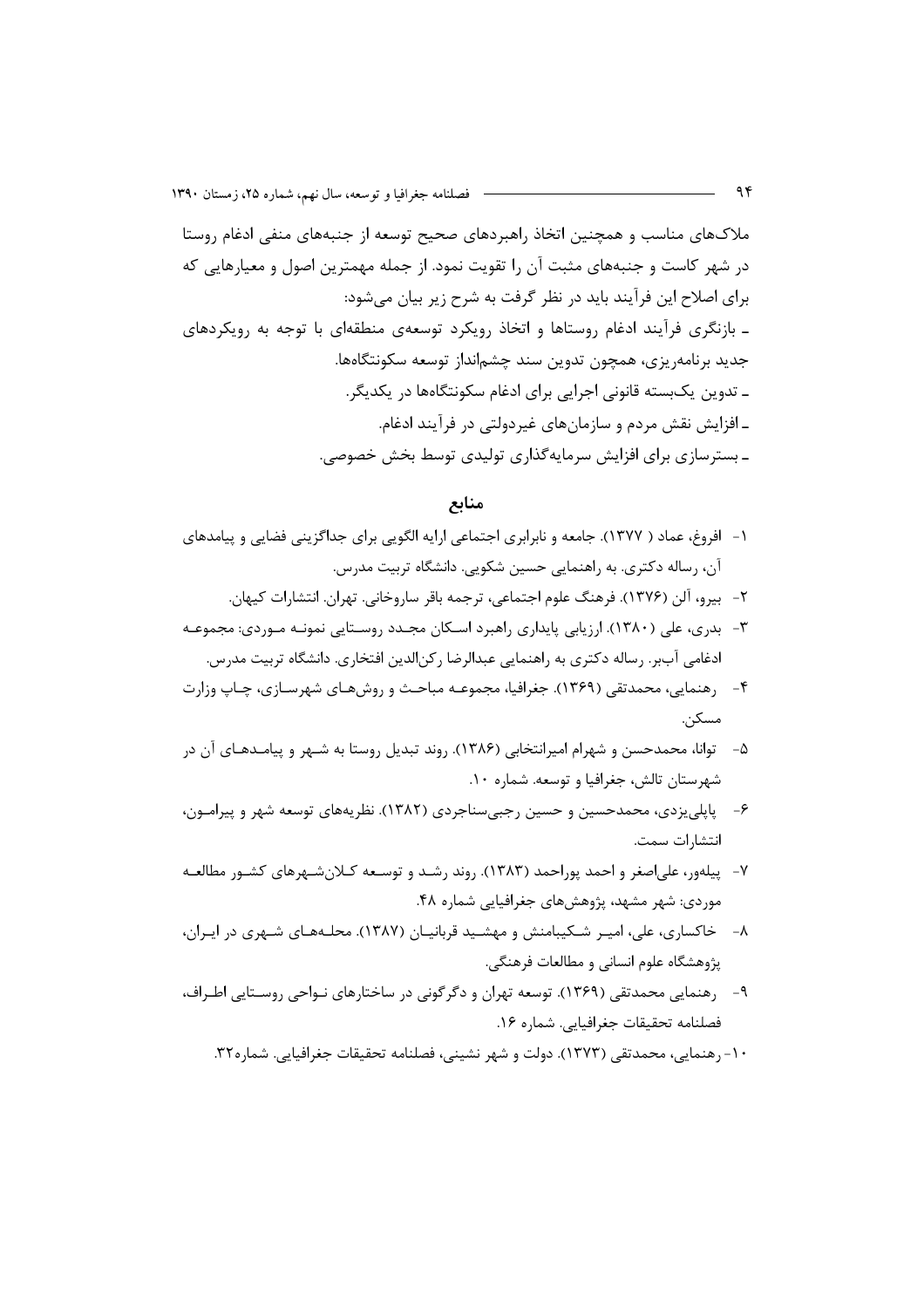ملاکـهای مناسب و همچنین اتخاذ راهبردهای صحیح توسعه از جنبههای منفی ادغام روستا در شهر کاست و جنبههای مثبت آن را تقویت نمود. از جمله مهمترین اصول و معیارهایی که برای اصلاح این فرآیند باید در نظر گرفت به شرح زیر بیان می شود: ـ بازنگری فرآیند ادغام روستاها و اتخاذ رویکرد توسعهی منطقهای با توجه به رویکردهای جديد برنامهريزي، همچون تدوين سند چشمانداز توسعه سكونتگاهها. ـ تدوین یکبسته قانونی اجرایی برای ادغام سکونتگاهها در یکدیگر. ـ افزايش نقش مردم و سازمانهاي غيردولتي در فرآيند ادغام. ـ بسترسازی برای افزایش سرمایهگذاری تولیدی توسط بخش خصوصی.

منابع

- ۱– افروغ، عماد ( ۱۳۷۷). جامعه و نابرابری اجتماعی ارایه الگویی برای جداگزینی فضایی و پیامدهای آن، رساله دکتری. به راهنمایی حسین شکویی. دانشگاه تربیت مدرس.
	- ٢- بيرو، آلن (١٣٧۶). فرهنگ علوم اجتماعي، ترجمه باقر ساروخاني. تهران. انتشارات كيهان.
- ۳- بدری، علی (۱۳۸۰). ارزیابی پایداری راهبرد اسکان مجـدد روسـتایی نمونـه مـوردی: مجموعـه ادغامي آببر. رساله دكتري به راهنمايي عبدالرضا ركن|لدين افتخاري. دانشگاه تربيت مدرس.
- ۴- , ,هنمایی، محمدتقی (۱۳۶۹). جغرافیا، مجموعـه مباحـث و , وش&حای شهرسـازی، چـاپ وزارت مسکن.
- ۵– توانا، محمدحسن و شهرام امیرانتخابی (۱۳۸۶). روند تبدیل روستا به شـهر و پیامـدهـای آن در شهرستان تالش، جغرافيا و توسعه. شماره ۱۰.
- ۶- پاپلی یزدی، محمدحسین و حسین رجبیسناجردی (۱۳۸۲). نظریههای توسعه شهر و پیرامـون، انتشارات سمت.
- ۷– پیلهور، علیاصغر و احمد پوراحمد (۱۳۸۳). روند رشـد و توسـعه کـلانِ شـهرهای کشـور مطالعـه موردی: شهر مشهد، پژوهش های جغرافیایی شماره ۴۸.
- ۸- خاکساری، علی، امیـر شـکیبامنش و مهشـید قربانیـان (۱۳۸۷). محلـههـای شـهری در ایـران، يژوهشگاه علوم انساني و مطالعات فرهنگي.
- ۹- رهنمایی محمدتقی (۱۳۶۹). توسعه تهران و دگرگونی در ساختارهای نـواحی روسـتایی اطـراف، فصلنامه تحقيقات جغرافيايي. شماره ١۶.
	- ١٠- ,هنمايي، محمدتقى (١٣٧٣). دولت و شهر نشيني، فصلنامه تحقيقات جغرافيايي. شماره٣٢.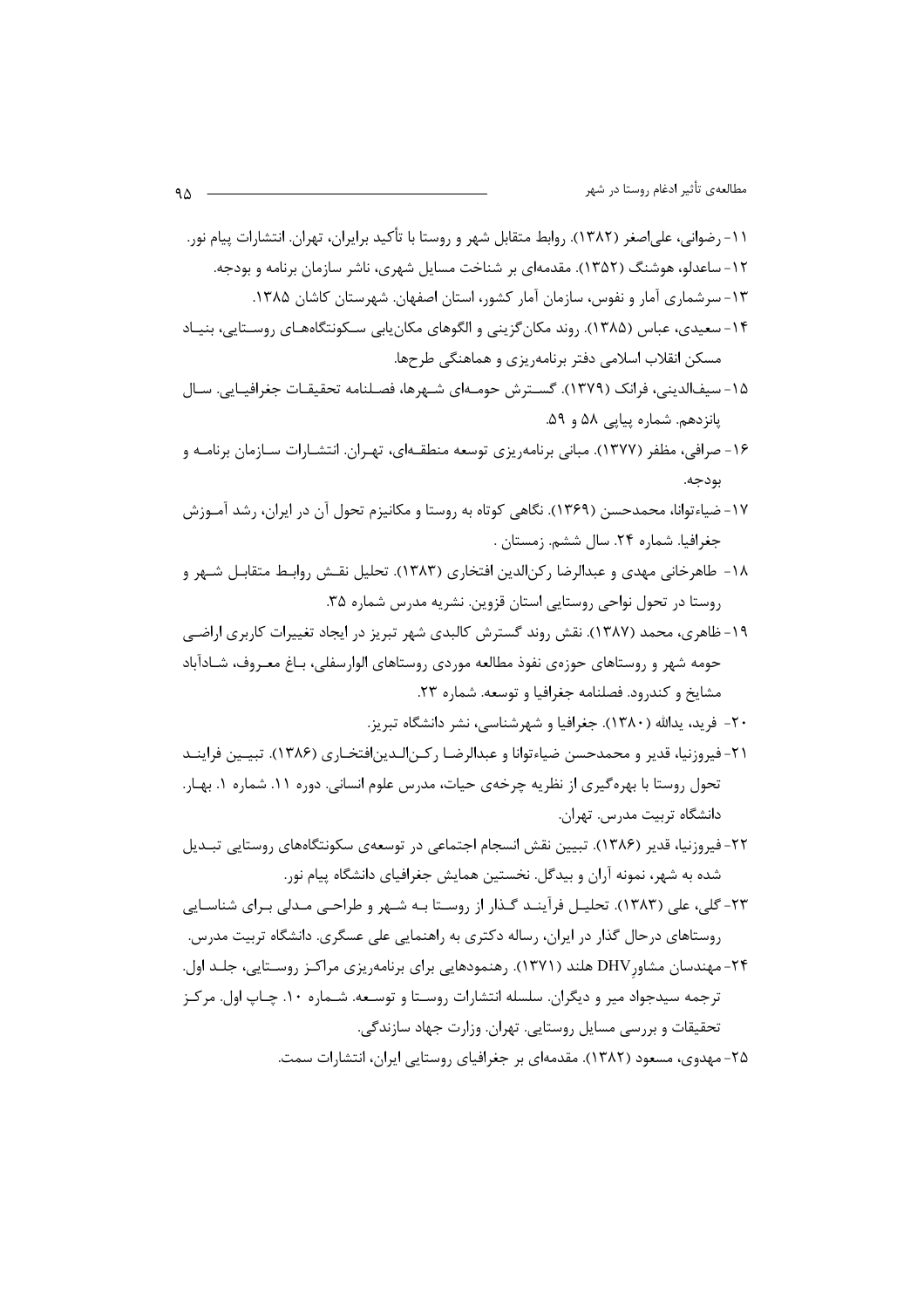- ١۵- سيفالديني، فرانك (١٣٧٩). گسـترش حومـهاي شـهرها، فصـلنامه تحقيقـات جغرافيـايي. سـال پانزدهم. شماره پیایی ۵۸ و ۵۹.
- ۱۶- صرافی، مظفر (۱۳۷۷). مبانی برنامهریزی توسعه منطقـهای، تهـران. انتشـارات سـازمان برنامـه و بودجه.
- ۱۷-ضیاءتوانا، محمدحسن (۱۳۶۹). نگاهی کوتاه به روستا و مکانیزم تحول آن در ایران، رشد آمـوزش جغرافیا. شماره ۲۴. سال ششم. زمستان .
- ١٨- طاهرخاني مهدي و عبدالرضا , كن الدين افتخاري (١٣٨٣). تحليل نقــش , وابـط متقابـل شــهر و روستا در تحول نواحی روستایی استان قزوین. نشریه مدرس شماره ۳۵.
- ۱۹- ظاهری، محمد (۱۳۸۷). نقش روند گسترش کالبدی شهر تبریز در ایجاد تغییرات کاربری اراضی حومه شهر و روستاهای حوزهی نفوذ مطالعه موردی روستاهای الوارسفلی، بـاغ معـروف، شـادآباد مشايخ و كندرود. فصلنامه جغرافيا و توسعه. شماره ٢٣.
	- ۲۰- فرید، پدالله (۱۳۸۰). جغرافیا و شهرشناسی، نشر دانشگاه تبریز.
- ٢١- فيروزنيا، قدير و محمدحسن ضياءتوانا و عبدالرضـا ركـن|لـدين|فتخـاري (١٣٨۶). تبيـين فراينــد تحول روستا با بهره گیری از نظریه چرخهی حیات، مدرس علوم انسانی. دوره ۱۱. شماره ۱. بهـار. دانشگاه تربیت مدرس. تهران.
- ٢٢- فيروزنيا، قدير (١٣٨۶). تبيين نقش انسجام اجتماعي در توسعهي سكونتگاههاي روستايي تبـديل شده به شهر، نمونه آران و بیدگل. نخستین همایش جغرافیای دانشگاه پیام نور.
- ۲۳- گلی، علی (۱۳۸۳). تحلیـل فرآینـد گـذار از روسـتا بـه شـهر و طراحـی مـدلی بـرای شناسـایی روستاهای درحال گذار در ایران، رساله دکتری به راهنمایی علی عسگری. دانشگاه تربیت مدرس.
- ۲۴- مهندسان مشاور DHV هلند (۱۳۷۱). رهنمودهایی برای برنامهریزی مراکـز روسـتایی، جلـد اول. ترجمه سیدجواد میر و دیگران. سلسله انتشارات روسـتا و توسـعه. شـماره ۱۰. چـاپ اول. مرکـز تحقیقات و بررسی مسایل روستایی. تهران. وزارت جهاد سازندگی.
	- ۲۵- مهدوی، مسعود (۱۳۸۲). مقدمهای بر جغرافیای روستایی ایران، انتشارات سمت.